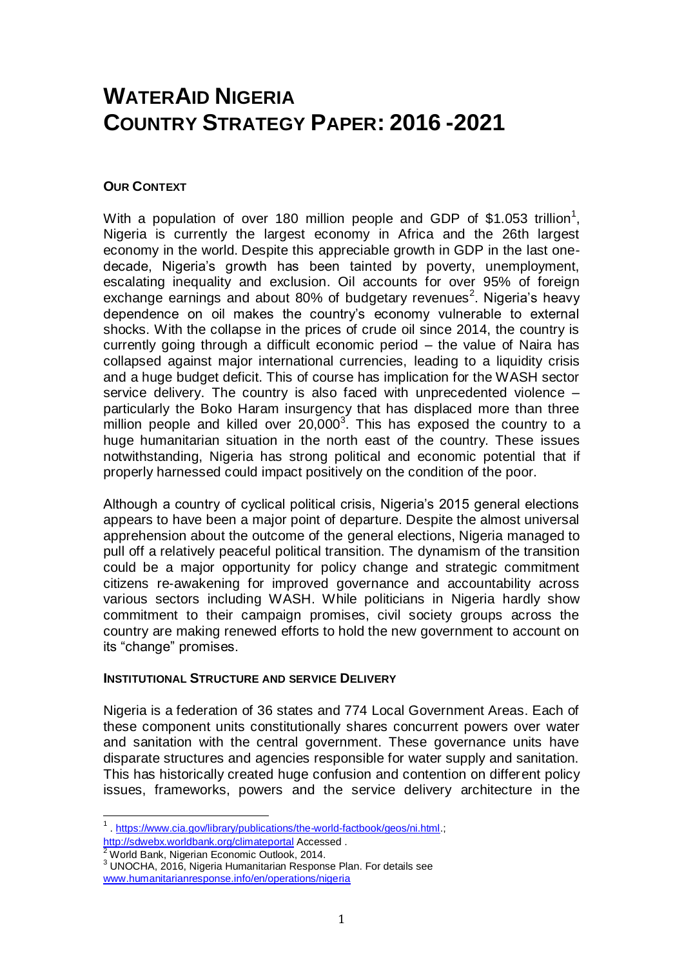# **WATERAID NIGERIA COUNTRY STRATEGY PAPER: 2016 -2021**

#### **OUR CONTEXT**

With a population of over 180 million people and GDP of \$1.053 trillion<sup>1</sup>, Nigeria is currently the largest economy in Africa and the 26th largest economy in the world. Despite this appreciable growth in GDP in the last onedecade, Nigeria's growth has been tainted by poverty, unemployment, escalating inequality and exclusion. Oil accounts for over 95% of foreign exchange earnings and about 80% of budgetary revenues<sup>2</sup>. Nigeria's heavy dependence on oil makes the country's economy vulnerable to external shocks. With the collapse in the prices of crude oil since 2014, the country is currently going through a difficult economic period – the value of Naira has collapsed against major international currencies, leading to a liquidity crisis and a huge budget deficit. This of course has implication for the WASH sector service delivery. The country is also faced with unprecedented violence – particularly the Boko Haram insurgency that has displaced more than three million people and killed over  $20,000^3$ . This has exposed the country to a huge humanitarian situation in the north east of the country. These issues notwithstanding, Nigeria has strong political and economic potential that if properly harnessed could impact positively on the condition of the poor.

Although a country of cyclical political crisis, Nigeria's 2015 general elections appears to have been a major point of departure. Despite the almost universal apprehension about the outcome of the general elections, Nigeria managed to pull off a relatively peaceful political transition. The dynamism of the transition could be a major opportunity for policy change and strategic commitment citizens re-awakening for improved governance and accountability across various sectors including WASH. While politicians in Nigeria hardly show commitment to their campaign promises, civil society groups across the country are making renewed efforts to hold the new government to account on its "change" promises.

#### **INSTITUTIONAL STRUCTURE AND SERVICE DELIVERY**

Nigeria is a federation of 36 states and 774 Local Government Areas. Each of these component units constitutionally shares concurrent powers over water and sanitation with the central government. These governance units have disparate structures and agencies responsible for water supply and sanitation. This has historically created huge confusion and contention on different policy issues, frameworks, powers and the service delivery architecture in the

<u>.</u>

<sup>&</sup>lt;sup>1</sup>. [https://www.cia.gov/library/publications/the-world-factbook/geos/ni.html.](https://www.cia.gov/library/publications/the-world-factbook/geos/ni.html); <http://sdwebx.worldbank.org/climateportal> Accessed .

 $2$  World Bank, Nigerian Economic Outlook, 2014.

<sup>3</sup> UNOCHA, 2016, Nigeria Humanitarian Response Plan. For details see [www.humanitarianresponse.info/en/operations/nigeria](http://www.humanitarianresponse.info/en/operations/nigeria)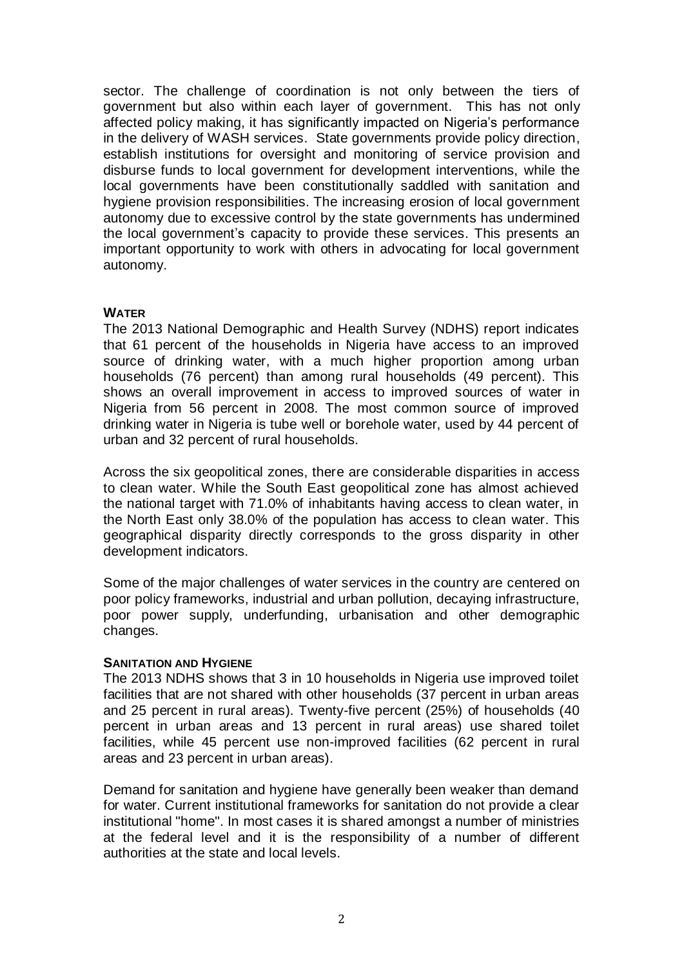sector. The challenge of coordination is not only between the tiers of government but also within each layer of government. This has not only affected policy making, it has significantly impacted on Nigeria's performance in the delivery of WASH services. State governments provide policy direction, establish institutions for oversight and monitoring of service provision and disburse funds to local government for development interventions, while the local governments have been constitutionally saddled with sanitation and hygiene provision responsibilities. The increasing erosion of local government autonomy due to excessive control by the state governments has undermined the local government's capacity to provide these services. This presents an important opportunity to work with others in advocating for local government autonomy.

## **WATER**

The 2013 National Demographic and Health Survey (NDHS) report indicates that 61 percent of the households in Nigeria have access to an improved source of drinking water, with a much higher proportion among urban households (76 percent) than among rural households (49 percent). This shows an overall improvement in access to improved sources of water in Nigeria from 56 percent in 2008. The most common source of improved drinking water in Nigeria is tube well or borehole water, used by 44 percent of urban and 32 percent of rural households.

Across the six geopolitical zones, there are considerable disparities in access to clean water. While the South East geopolitical zone has almost achieved the national target with 71.0% of inhabitants having access to clean water, in the North East only 38.0% of the population has access to clean water. This geographical disparity directly corresponds to the gross disparity in other development indicators.

Some of the major challenges of water services in the country are centered on poor policy frameworks, industrial and urban pollution, decaying infrastructure, poor power supply, underfunding, urbanisation and other demographic changes.

## **SANITATION AND HYGIENE**

The 2013 NDHS shows that 3 in 10 households in Nigeria use improved toilet facilities that are not shared with other households (37 percent in urban areas and 25 percent in rural areas). Twenty-five percent (25%) of households (40 percent in urban areas and 13 percent in rural areas) use shared toilet facilities, while 45 percent use non-improved facilities (62 percent in rural areas and 23 percent in urban areas).

Demand for sanitation and hygiene have generally been weaker than demand for water. Current institutional frameworks for sanitation do not provide a clear institutional "home". In most cases it is shared amongst a number of ministries at the federal level and it is the responsibility of a number of different authorities at the state and local levels.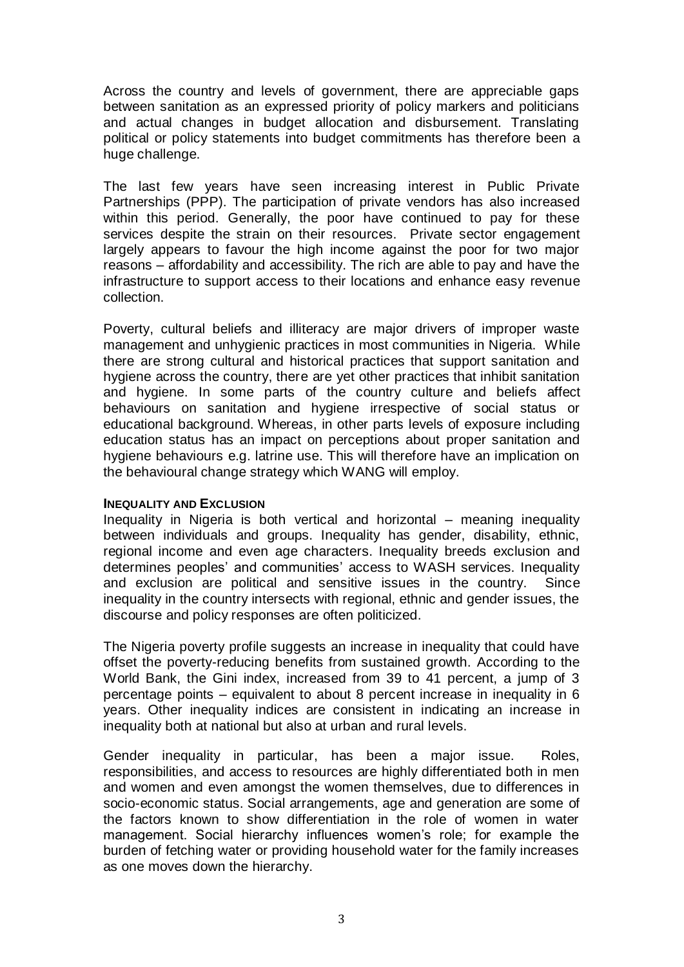Across the country and levels of government, there are appreciable gaps between sanitation as an expressed priority of policy markers and politicians and actual changes in budget allocation and disbursement. Translating political or policy statements into budget commitments has therefore been a huge challenge.

The last few years have seen increasing interest in Public Private Partnerships (PPP). The participation of private vendors has also increased within this period. Generally, the poor have continued to pay for these services despite the strain on their resources. Private sector engagement largely appears to favour the high income against the poor for two major reasons – affordability and accessibility. The rich are able to pay and have the infrastructure to support access to their locations and enhance easy revenue collection.

Poverty, cultural beliefs and illiteracy are major drivers of improper waste management and unhygienic practices in most communities in Nigeria. While there are strong cultural and historical practices that support sanitation and hygiene across the country, there are yet other practices that inhibit sanitation and hygiene. In some parts of the country culture and beliefs affect behaviours on sanitation and hygiene irrespective of social status or educational background. Whereas, in other parts levels of exposure including education status has an impact on perceptions about proper sanitation and hygiene behaviours e.g. latrine use. This will therefore have an implication on the behavioural change strategy which WANG will employ.

#### **INEQUALITY AND EXCLUSION**

Inequality in Nigeria is both vertical and horizontal – meaning inequality between individuals and groups. Inequality has gender, disability, ethnic, regional income and even age characters. Inequality breeds exclusion and determines peoples' and communities' access to WASH services. Inequality and exclusion are political and sensitive issues in the country. Since inequality in the country intersects with regional, ethnic and gender issues, the discourse and policy responses are often politicized.

The Nigeria poverty profile suggests an increase in inequality that could have offset the poverty-reducing benefits from sustained growth. According to the World Bank, the Gini index, increased from 39 to 41 percent, a jump of 3 percentage points – equivalent to about 8 percent increase in inequality in 6 years. Other inequality indices are consistent in indicating an increase in inequality both at national but also at urban and rural levels.

Gender inequality in particular, has been a major issue. Roles, responsibilities, and access to resources are highly differentiated both in men and women and even amongst the women themselves, due to differences in socio-economic status. Social arrangements, age and generation are some of the factors known to show differentiation in the role of women in water management. Social hierarchy influences women's role; for example the burden of fetching water or providing household water for the family increases as one moves down the hierarchy.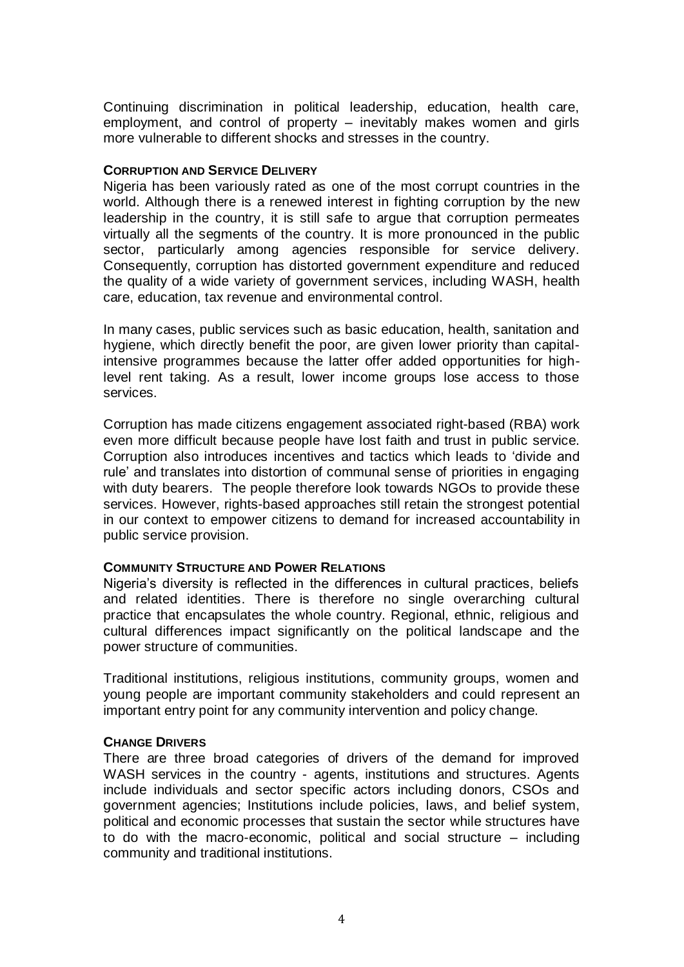Continuing discrimination in political leadership, education, health care, employment, and control of property – inevitably makes women and girls more vulnerable to different shocks and stresses in the country.

#### **CORRUPTION AND SERVICE DELIVERY**

Nigeria has been variously rated as one of the most corrupt countries in the world. Although there is a renewed interest in fighting corruption by the new leadership in the country, it is still safe to argue that corruption permeates virtually all the segments of the country. It is more pronounced in the public sector, particularly among agencies responsible for service delivery. Consequently, corruption has distorted government expenditure and reduced the quality of a wide variety of government services, including WASH, health care, education, tax revenue and environmental control.

In many cases, public services such as basic education, health, sanitation and hygiene, which directly benefit the poor, are given lower priority than capitalintensive programmes because the latter offer added opportunities for highlevel rent taking. As a result, lower income groups lose access to those services.

Corruption has made citizens engagement associated right-based (RBA) work even more difficult because people have lost faith and trust in public service. Corruption also introduces incentives and tactics which leads to 'divide and rule' and translates into distortion of communal sense of priorities in engaging with duty bearers. The people therefore look towards NGOs to provide these services. However, rights-based approaches still retain the strongest potential in our context to empower citizens to demand for increased accountability in public service provision.

#### **COMMUNITY STRUCTURE AND POWER RELATIONS**

Nigeria's diversity is reflected in the differences in cultural practices, beliefs and related identities. There is therefore no single overarching cultural practice that encapsulates the whole country. Regional, ethnic, religious and cultural differences impact significantly on the political landscape and the power structure of communities.

Traditional institutions, religious institutions, community groups, women and young people are important community stakeholders and could represent an important entry point for any community intervention and policy change.

#### **CHANGE DRIVERS**

There are three broad categories of drivers of the demand for improved WASH services in the country - agents, institutions and structures. Agents include individuals and sector specific actors including donors, CSOs and government agencies; Institutions include policies, laws, and belief system, political and economic processes that sustain the sector while structures have to do with the macro-economic, political and social structure – including community and traditional institutions.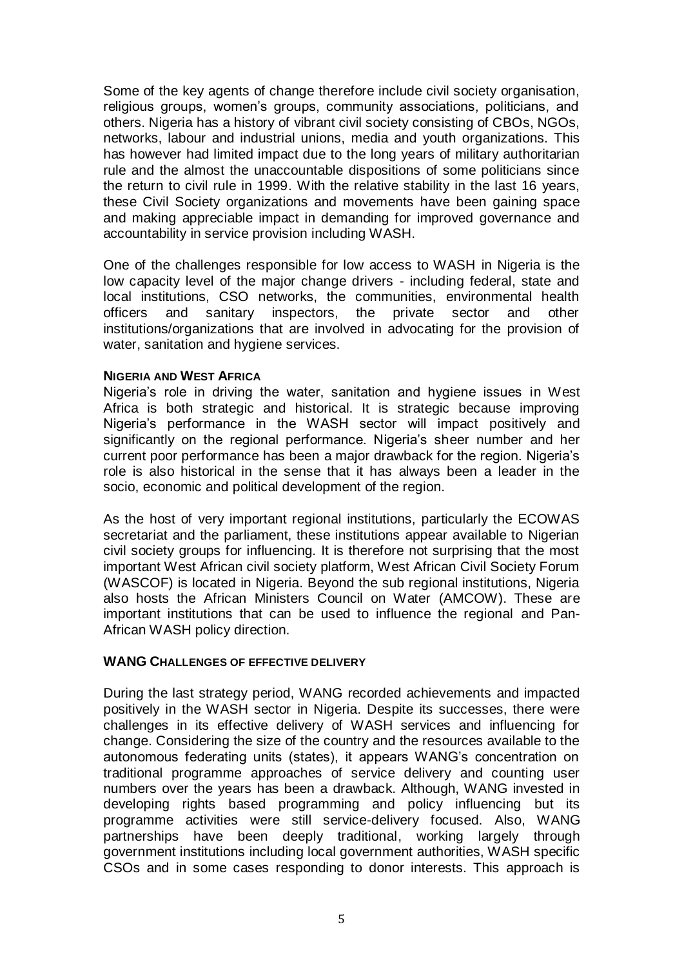Some of the key agents of change therefore include civil society organisation, religious groups, women's groups, community associations, politicians, and others. Nigeria has a history of vibrant civil society consisting of CBOs, NGOs, networks, labour and industrial unions, media and youth organizations. This has however had limited impact due to the long years of military authoritarian rule and the almost the unaccountable dispositions of some politicians since the return to civil rule in 1999. With the relative stability in the last 16 years, these Civil Society organizations and movements have been gaining space and making appreciable impact in demanding for improved governance and accountability in service provision including WASH.

One of the challenges responsible for low access to WASH in Nigeria is the low capacity level of the major change drivers - including federal, state and local institutions, CSO networks, the communities, environmental health officers and sanitary inspectors, the private sector and other institutions/organizations that are involved in advocating for the provision of water, sanitation and hygiene services.

#### **NIGERIA AND WEST AFRICA**

Nigeria's role in driving the water, sanitation and hygiene issues in West Africa is both strategic and historical. It is strategic because improving Nigeria's performance in the WASH sector will impact positively and significantly on the regional performance. Nigeria's sheer number and her current poor performance has been a major drawback for the region. Nigeria's role is also historical in the sense that it has always been a leader in the socio, economic and political development of the region.

As the host of very important regional institutions, particularly the ECOWAS secretariat and the parliament, these institutions appear available to Nigerian civil society groups for influencing. It is therefore not surprising that the most important West African civil society platform, West African Civil Society Forum (WASCOF) is located in Nigeria. Beyond the sub regional institutions, Nigeria also hosts the African Ministers Council on Water (AMCOW). These are important institutions that can be used to influence the regional and Pan-African WASH policy direction.

#### **WANG CHALLENGES OF EFFECTIVE DELIVERY**

During the last strategy period, WANG recorded achievements and impacted positively in the WASH sector in Nigeria. Despite its successes, there were challenges in its effective delivery of WASH services and influencing for change. Considering the size of the country and the resources available to the autonomous federating units (states), it appears WANG's concentration on traditional programme approaches of service delivery and counting user numbers over the years has been a drawback. Although, WANG invested in developing rights based programming and policy influencing but its programme activities were still service-delivery focused. Also, WANG partnerships have been deeply traditional, working largely through government institutions including local government authorities, WASH specific CSOs and in some cases responding to donor interests. This approach is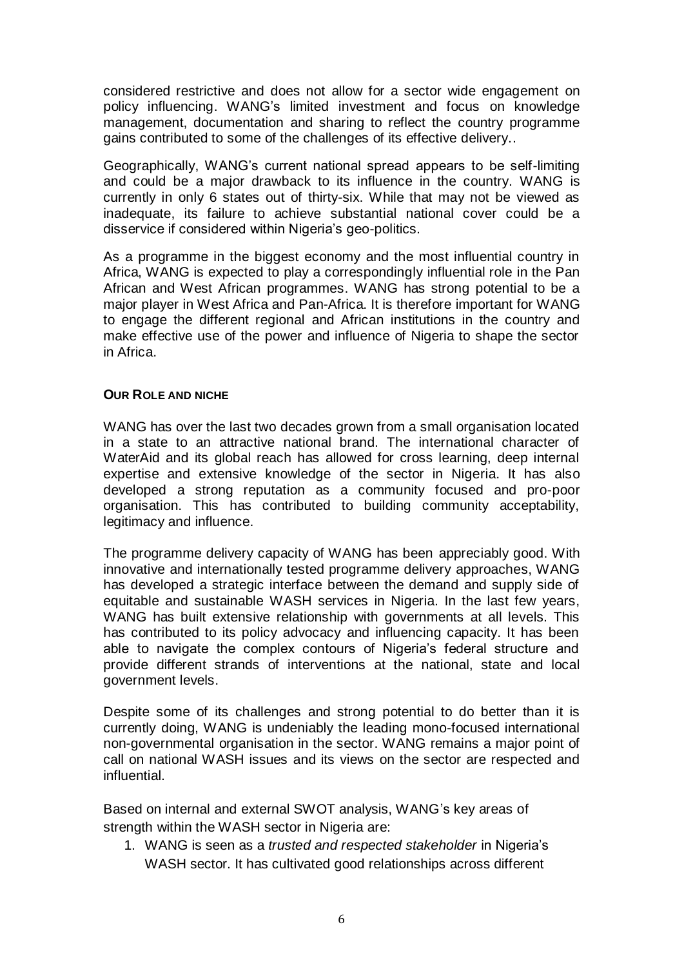considered restrictive and does not allow for a sector wide engagement on policy influencing. WANG's limited investment and focus on knowledge management, documentation and sharing to reflect the country programme gains contributed to some of the challenges of its effective delivery..

Geographically, WANG's current national spread appears to be self-limiting and could be a major drawback to its influence in the country. WANG is currently in only 6 states out of thirty-six. While that may not be viewed as inadequate, its failure to achieve substantial national cover could be a disservice if considered within Nigeria's geo-politics.

As a programme in the biggest economy and the most influential country in Africa, WANG is expected to play a correspondingly influential role in the Pan African and West African programmes. WANG has strong potential to be a major player in West Africa and Pan-Africa. It is therefore important for WANG to engage the different regional and African institutions in the country and make effective use of the power and influence of Nigeria to shape the sector in Africa.

## **OUR ROLE AND NICHE**

WANG has over the last two decades grown from a small organisation located in a state to an attractive national brand. The international character of WaterAid and its global reach has allowed for cross learning, deep internal expertise and extensive knowledge of the sector in Nigeria. It has also developed a strong reputation as a community focused and pro-poor organisation. This has contributed to building community acceptability, legitimacy and influence.

The programme delivery capacity of WANG has been appreciably good. With innovative and internationally tested programme delivery approaches, WANG has developed a strategic interface between the demand and supply side of equitable and sustainable WASH services in Nigeria. In the last few years, WANG has built extensive relationship with governments at all levels. This has contributed to its policy advocacy and influencing capacity. It has been able to navigate the complex contours of Nigeria's federal structure and provide different strands of interventions at the national, state and local government levels.

Despite some of its challenges and strong potential to do better than it is currently doing, WANG is undeniably the leading mono-focused international non-governmental organisation in the sector. WANG remains a major point of call on national WASH issues and its views on the sector are respected and influential.

Based on internal and external SWOT analysis, WANG's key areas of strength within the WASH sector in Nigeria are:

1. WANG is seen as a *trusted and respected stakeholder* in Nigeria's WASH sector. It has cultivated good relationships across different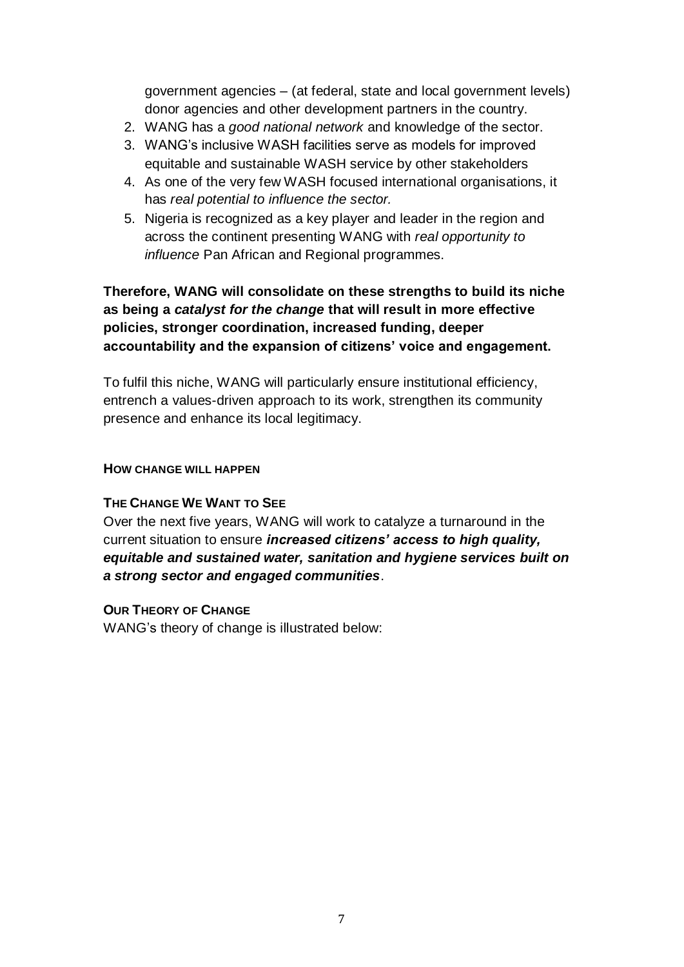government agencies – (at federal, state and local government levels) donor agencies and other development partners in the country.

- 2. WANG has a *good national network* and knowledge of the sector.
- 3. WANG's inclusive WASH facilities serve as models for improved equitable and sustainable WASH service by other stakeholders
- 4. As one of the very few WASH focused international organisations, it has *real potential to influence the sector.*
- 5. Nigeria is recognized as a key player and leader in the region and across the continent presenting WANG with *real opportunity to influence* Pan African and Regional programmes.

# **Therefore, WANG will consolidate on these strengths to build its niche as being a** *catalyst for the change* **that will result in more effective policies, stronger coordination, increased funding, deeper accountability and the expansion of citizens' voice and engagement.**

To fulfil this niche, WANG will particularly ensure institutional efficiency, entrench a values-driven approach to its work, strengthen its community presence and enhance its local legitimacy.

## **HOW CHANGE WILL HAPPEN**

## **THE CHANGE WE WANT TO SEE**

Over the next five years, WANG will work to catalyze a turnaround in the current situation to ensure *increased citizens' access to high quality, equitable and sustained water, sanitation and hygiene services built on a strong sector and engaged communities*.

## **OUR THEORY OF CHANGE**

WANG's theory of change is illustrated below: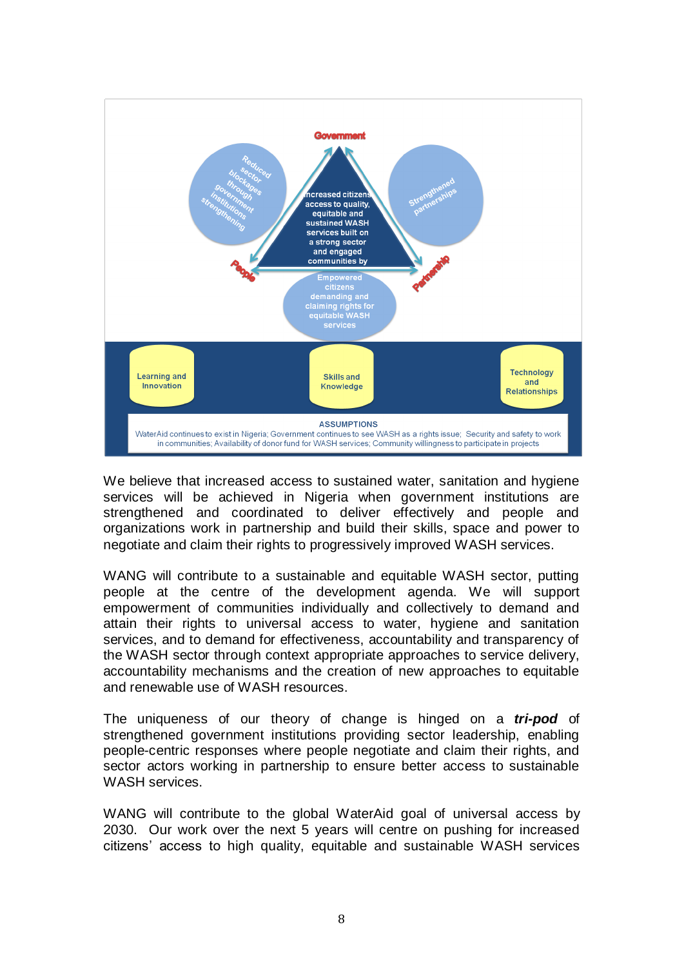

We believe that increased access to sustained water, sanitation and hygiene services will be achieved in Nigeria when government institutions are strengthened and coordinated to deliver effectively and people and organizations work in partnership and build their skills, space and power to negotiate and claim their rights to progressively improved WASH services.

WANG will contribute to a sustainable and equitable WASH sector, putting people at the centre of the development agenda. We will support empowerment of communities individually and collectively to demand and attain their rights to universal access to water, hygiene and sanitation services, and to demand for effectiveness, accountability and transparency of the WASH sector through context appropriate approaches to service delivery, accountability mechanisms and the creation of new approaches to equitable and renewable use of WASH resources.

The uniqueness of our theory of change is hinged on a *tri-pod* of strengthened government institutions providing sector leadership, enabling people-centric responses where people negotiate and claim their rights, and sector actors working in partnership to ensure better access to sustainable WASH services.

WANG will contribute to the global WaterAid goal of universal access by 2030. Our work over the next 5 years will centre on pushing for increased citizens' access to high quality, equitable and sustainable WASH services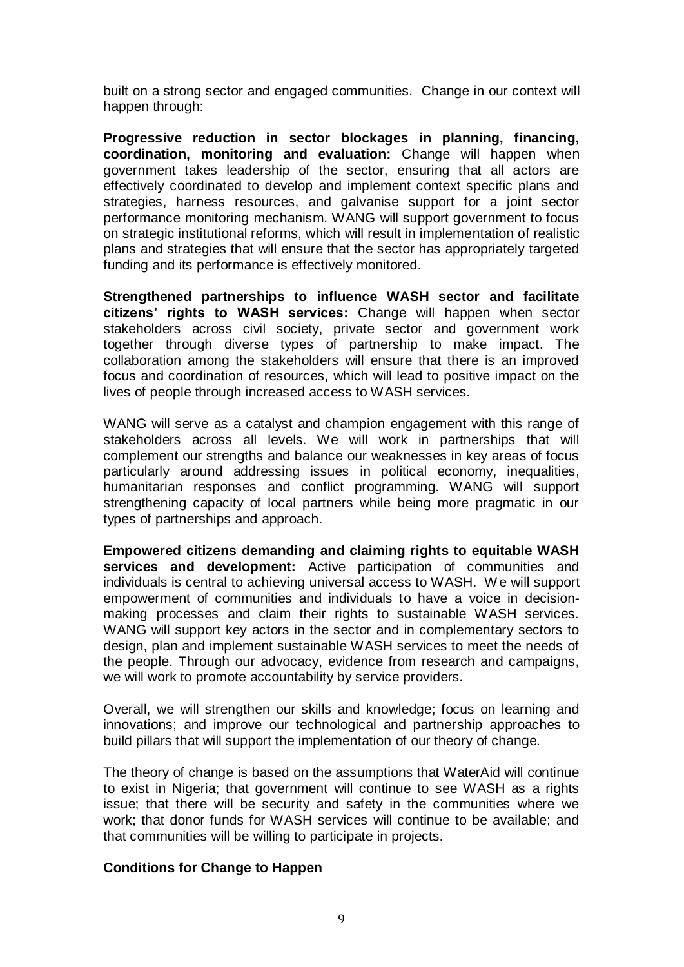built on a strong sector and engaged communities. Change in our context will happen through:

**Progressive reduction in sector blockages in planning, financing, coordination, monitoring and evaluation:** Change will happen when government takes leadership of the sector, ensuring that all actors are effectively coordinated to develop and implement context specific plans and strategies, harness resources, and galvanise support for a joint sector performance monitoring mechanism. WANG will support government to focus on strategic institutional reforms, which will result in implementation of realistic plans and strategies that will ensure that the sector has appropriately targeted funding and its performance is effectively monitored.

**Strengthened partnerships to influence WASH sector and facilitate citizens' rights to WASH services:** Change will happen when sector stakeholders across civil society, private sector and government work together through diverse types of partnership to make impact. The collaboration among the stakeholders will ensure that there is an improved focus and coordination of resources, which will lead to positive impact on the lives of people through increased access to WASH services.

WANG will serve as a catalyst and champion engagement with this range of stakeholders across all levels. We will work in partnerships that will complement our strengths and balance our weaknesses in key areas of focus particularly around addressing issues in political economy, inequalities, humanitarian responses and conflict programming. WANG will support strengthening capacity of local partners while being more pragmatic in our types of partnerships and approach.

**Empowered citizens demanding and claiming rights to equitable WASH services and development:** Active participation of communities and individuals is central to achieving universal access to WASH. We will support empowerment of communities and individuals to have a voice in decisionmaking processes and claim their rights to sustainable WASH services. WANG will support key actors in the sector and in complementary sectors to design, plan and implement sustainable WASH services to meet the needs of the people. Through our advocacy, evidence from research and campaigns, we will work to promote accountability by service providers.

Overall, we will strengthen our skills and knowledge; focus on learning and innovations; and improve our technological and partnership approaches to build pillars that will support the implementation of our theory of change.

The theory of change is based on the assumptions that WaterAid will continue to exist in Nigeria; that government will continue to see WASH as a rights issue; that there will be security and safety in the communities where we work; that donor funds for WASH services will continue to be available; and that communities will be willing to participate in projects.

## **Conditions for Change to Happen**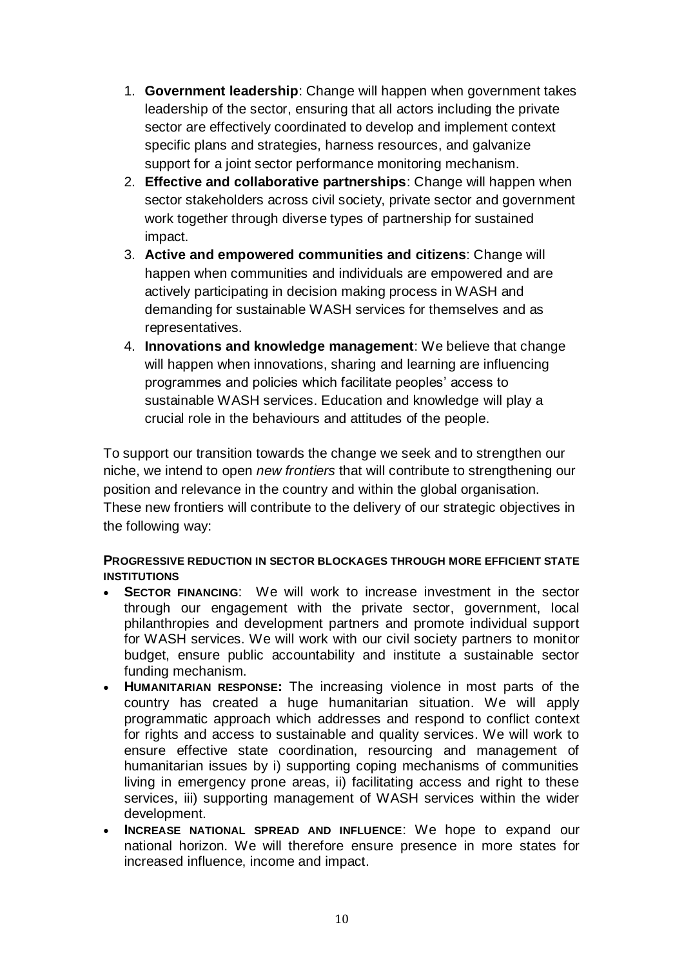- 1. **Government leadership**: Change will happen when government takes leadership of the sector, ensuring that all actors including the private sector are effectively coordinated to develop and implement context specific plans and strategies, harness resources, and galvanize support for a joint sector performance monitoring mechanism.
- 2. **Effective and collaborative partnerships**: Change will happen when sector stakeholders across civil society, private sector and government work together through diverse types of partnership for sustained impact.
- 3. **Active and empowered communities and citizens**: Change will happen when communities and individuals are empowered and are actively participating in decision making process in WASH and demanding for sustainable WASH services for themselves and as representatives.
- 4. **Innovations and knowledge management**: We believe that change will happen when innovations, sharing and learning are influencing programmes and policies which facilitate peoples' access to sustainable WASH services. Education and knowledge will play a crucial role in the behaviours and attitudes of the people.

To support our transition towards the change we seek and to strengthen our niche, we intend to open *new frontiers* that will contribute to strengthening our position and relevance in the country and within the global organisation. These new frontiers will contribute to the delivery of our strategic objectives in the following way:

## **PROGRESSIVE REDUCTION IN SECTOR BLOCKAGES THROUGH MORE EFFICIENT STATE INSTITUTIONS**

- **SECTOR FINANCING:** We will work to increase investment in the sector through our engagement with the private sector, government, local philanthropies and development partners and promote individual support for WASH services. We will work with our civil society partners to monitor budget, ensure public accountability and institute a sustainable sector funding mechanism.
- **HUMANITARIAN RESPONSE:** The increasing violence in most parts of the country has created a huge humanitarian situation. We will apply programmatic approach which addresses and respond to conflict context for rights and access to sustainable and quality services. We will work to ensure effective state coordination, resourcing and management of humanitarian issues by i) supporting coping mechanisms of communities living in emergency prone areas, ii) facilitating access and right to these services, iii) supporting management of WASH services within the wider development.
- **INCREASE NATIONAL SPREAD AND INFLUENCE**: We hope to expand our national horizon. We will therefore ensure presence in more states for increased influence, income and impact.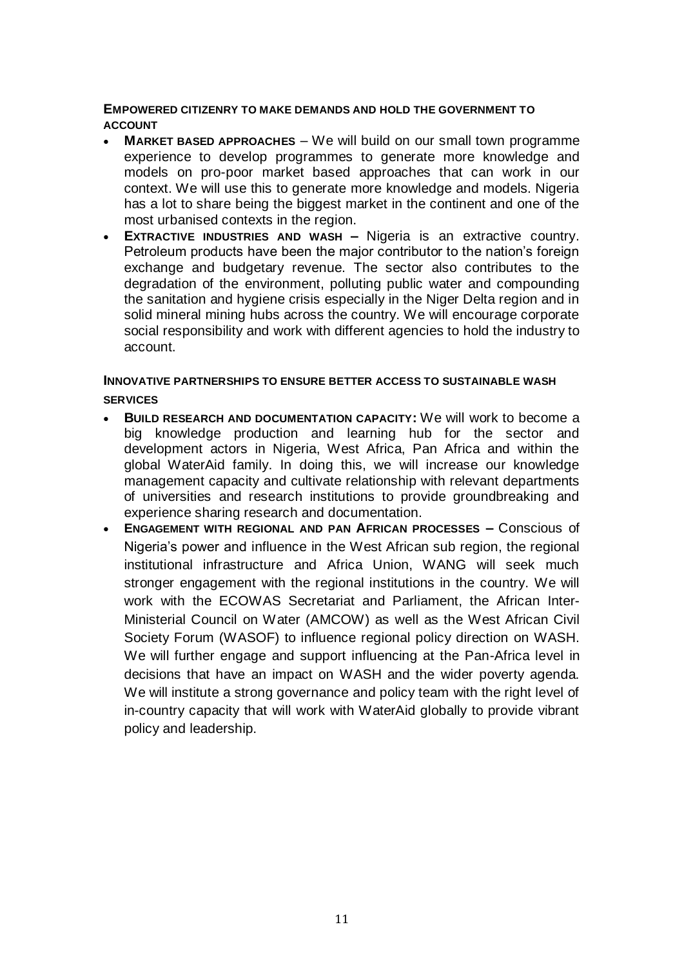## **EMPOWERED CITIZENRY TO MAKE DEMANDS AND HOLD THE GOVERNMENT TO ACCOUNT**

- **MARKET BASED APPROACHES** We will build on our small town programme experience to develop programmes to generate more knowledge and models on pro-poor market based approaches that can work in our context. We will use this to generate more knowledge and models. Nigeria has a lot to share being the biggest market in the continent and one of the most urbanised contexts in the region.
- **EXTRACTIVE INDUSTRIES AND WASH –** Nigeria is an extractive country. Petroleum products have been the major contributor to the nation's foreign exchange and budgetary revenue. The sector also contributes to the degradation of the environment, polluting public water and compounding the sanitation and hygiene crisis especially in the Niger Delta region and in solid mineral mining hubs across the country. We will encourage corporate social responsibility and work with different agencies to hold the industry to account.

## **INNOVATIVE PARTNERSHIPS TO ENSURE BETTER ACCESS TO SUSTAINABLE WASH SERVICES**

- **BUILD RESEARCH AND DOCUMENTATION CAPACITY:** We will work to become a big knowledge production and learning hub for the sector and development actors in Nigeria, West Africa, Pan Africa and within the global WaterAid family. In doing this, we will increase our knowledge management capacity and cultivate relationship with relevant departments of universities and research institutions to provide groundbreaking and experience sharing research and documentation.
- **ENGAGEMENT WITH REGIONAL AND PAN AFRICAN PROCESSES –** Conscious of Nigeria's power and influence in the West African sub region, the regional institutional infrastructure and Africa Union, WANG will seek much stronger engagement with the regional institutions in the country. We will work with the ECOWAS Secretariat and Parliament, the African Inter-Ministerial Council on Water (AMCOW) as well as the West African Civil Society Forum (WASOF) to influence regional policy direction on WASH. We will further engage and support influencing at the Pan-Africa level in decisions that have an impact on WASH and the wider poverty agenda. We will institute a strong governance and policy team with the right level of in-country capacity that will work with WaterAid globally to provide vibrant policy and leadership.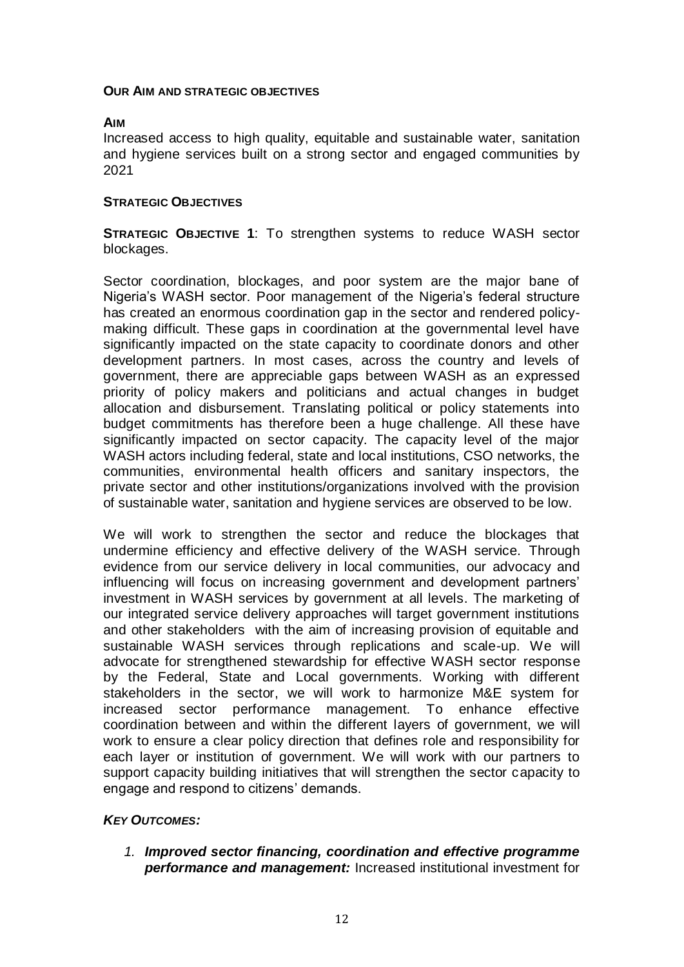#### **OUR AIM AND STRATEGIC OBJECTIVES**

## **AIM**

Increased access to high quality, equitable and sustainable water, sanitation and hygiene services built on a strong sector and engaged communities by 2021

## **STRATEGIC OBJECTIVES**

**STRATEGIC OBJECTIVE 1**: To strengthen systems to reduce WASH sector blockages.

Sector coordination, blockages, and poor system are the major bane of Nigeria's WASH sector. Poor management of the Nigeria's federal structure has created an enormous coordination gap in the sector and rendered policymaking difficult. These gaps in coordination at the governmental level have significantly impacted on the state capacity to coordinate donors and other development partners. In most cases, across the country and levels of government, there are appreciable gaps between WASH as an expressed priority of policy makers and politicians and actual changes in budget allocation and disbursement. Translating political or policy statements into budget commitments has therefore been a huge challenge. All these have significantly impacted on sector capacity. The capacity level of the major WASH actors including federal, state and local institutions, CSO networks, the communities, environmental health officers and sanitary inspectors, the private sector and other institutions/organizations involved with the provision of sustainable water, sanitation and hygiene services are observed to be low.

We will work to strengthen the sector and reduce the blockages that undermine efficiency and effective delivery of the WASH service. Through evidence from our service delivery in local communities, our advocacy and influencing will focus on increasing government and development partners' investment in WASH services by government at all levels. The marketing of our integrated service delivery approaches will target government institutions and other stakeholders with the aim of increasing provision of equitable and sustainable WASH services through replications and scale-up. We will advocate for strengthened stewardship for effective WASH sector response by the Federal, State and Local governments. Working with different stakeholders in the sector, we will work to harmonize M&E system for increased sector performance management. To enhance effective coordination between and within the different layers of government, we will work to ensure a clear policy direction that defines role and responsibility for each layer or institution of government. We will work with our partners to support capacity building initiatives that will strengthen the sector capacity to engage and respond to citizens' demands.

## *KEY OUTCOMES:*

*1. Improved sector financing, coordination and effective programme performance and management:* Increased institutional investment for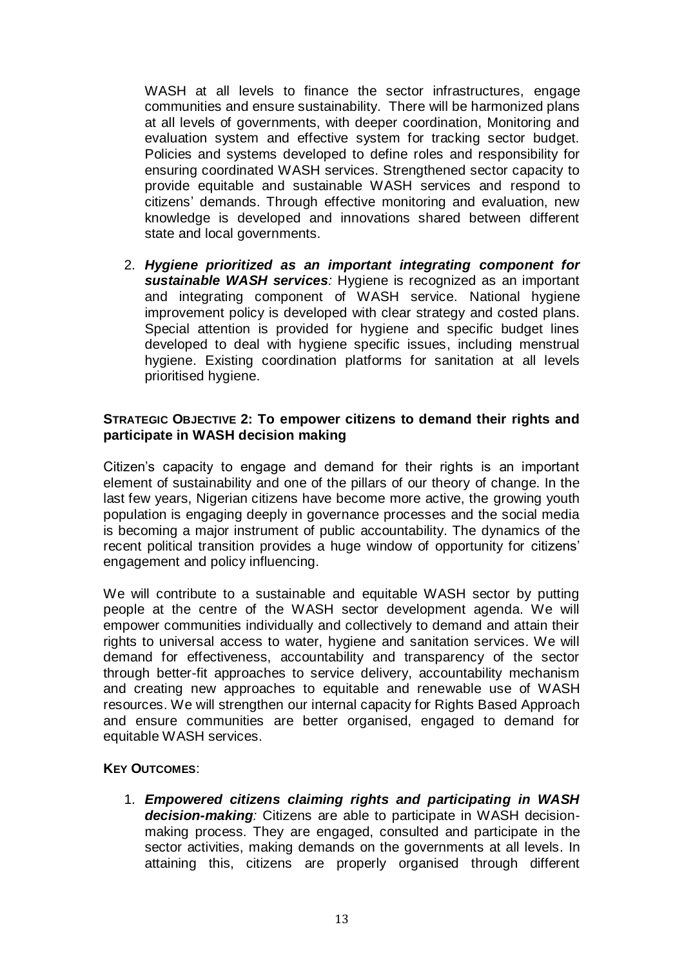WASH at all levels to finance the sector infrastructures, engage communities and ensure sustainability.There will be harmonized plans at all levels of governments, with deeper coordination, Monitoring and evaluation system and effective system for tracking sector budget. Policies and systems developed to define roles and responsibility for ensuring coordinated WASH services. Strengthened sector capacity to provide equitable and sustainable WASH services and respond to citizens' demands. Through effective monitoring and evaluation, new knowledge is developed and innovations shared between different state and local governments.

2. *Hygiene prioritized as an important integrating component for sustainable WASH services:* Hygiene is recognized as an important and integrating component of WASH service. National hygiene improvement policy is developed with clear strategy and costed plans. Special attention is provided for hygiene and specific budget lines developed to deal with hygiene specific issues, including menstrual hygiene. Existing coordination platforms for sanitation at all levels prioritised hygiene.

## **STRATEGIC OBJECTIVE 2: To empower citizens to demand their rights and participate in WASH decision making**

Citizen's capacity to engage and demand for their rights is an important element of sustainability and one of the pillars of our theory of change. In the last few years, Nigerian citizens have become more active, the growing youth population is engaging deeply in governance processes and the social media is becoming a major instrument of public accountability. The dynamics of the recent political transition provides a huge window of opportunity for citizens' engagement and policy influencing.

We will contribute to a sustainable and equitable WASH sector by putting people at the centre of the WASH sector development agenda. We will empower communities individually and collectively to demand and attain their rights to universal access to water, hygiene and sanitation services. We will demand for effectiveness, accountability and transparency of the sector through better-fit approaches to service delivery, accountability mechanism and creating new approaches to equitable and renewable use of WASH resources. We will strengthen our internal capacity for Rights Based Approach and ensure communities are better organised, engaged to demand for equitable WASH services.

## **KEY OUTCOMES**:

1. *Empowered citizens claiming rights and participating in WASH decision-making:* Citizens are able to participate in WASH decisionmaking process. They are engaged, consulted and participate in the sector activities, making demands on the governments at all levels. In attaining this, citizens are properly organised through different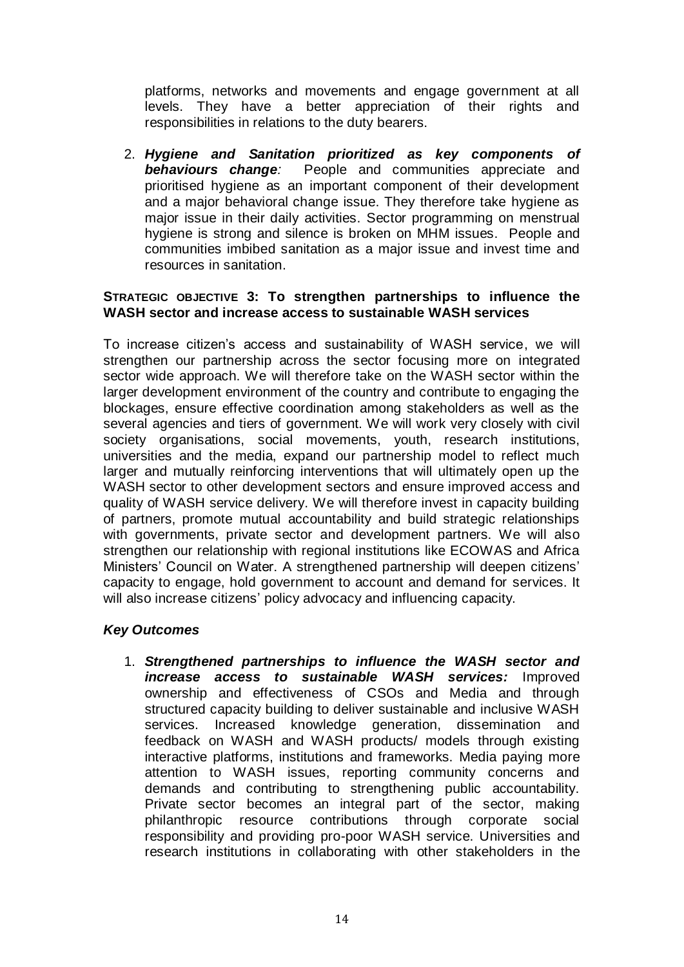platforms, networks and movements and engage government at all levels. They have a better appreciation of their rights and responsibilities in relations to the duty bearers.

2. *Hygiene and Sanitation prioritized as key components of*  **behaviours change**: People and communities appreciate and prioritised hygiene as an important component of their development and a major behavioral change issue. They therefore take hygiene as major issue in their daily activities. Sector programming on menstrual hygiene is strong and silence is broken on MHM issues. People and communities imbibed sanitation as a major issue and invest time and resources in sanitation.

## **STRATEGIC OBJECTIVE 3: To strengthen partnerships to influence the WASH sector and increase access to sustainable WASH services**

To increase citizen's access and sustainability of WASH service, we will strengthen our partnership across the sector focusing more on integrated sector wide approach. We will therefore take on the WASH sector within the larger development environment of the country and contribute to engaging the blockages, ensure effective coordination among stakeholders as well as the several agencies and tiers of government. We will work very closely with civil society organisations, social movements, youth, research institutions, universities and the media, expand our partnership model to reflect much larger and mutually reinforcing interventions that will ultimately open up the WASH sector to other development sectors and ensure improved access and quality of WASH service delivery. We will therefore invest in capacity building of partners, promote mutual accountability and build strategic relationships with governments, private sector and development partners. We will also strengthen our relationship with regional institutions like ECOWAS and Africa Ministers' Council on Water. A strengthened partnership will deepen citizens' capacity to engage, hold government to account and demand for services. It will also increase citizens' policy advocacy and influencing capacity.

## *Key Outcomes*

1. *Strengthened partnerships to influence the WASH sector and increase access to sustainable WASH services:* Improved ownership and effectiveness of CSOs and Media and through structured capacity building to deliver sustainable and inclusive WASH services. Increased knowledge generation, dissemination and feedback on WASH and WASH products/ models through existing interactive platforms, institutions and frameworks. Media paying more attention to WASH issues, reporting community concerns and demands and contributing to strengthening public accountability. Private sector becomes an integral part of the sector, making philanthropic resource contributions through corporate social responsibility and providing pro-poor WASH service. Universities and research institutions in collaborating with other stakeholders in the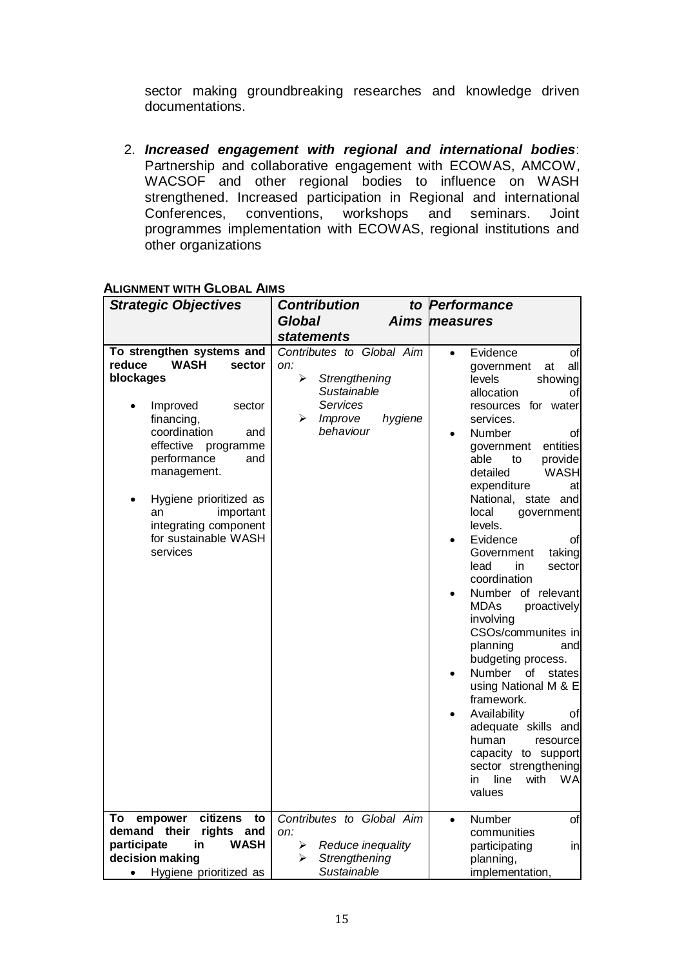sector making groundbreaking researches and knowledge driven documentations.

2. *Increased engagement with regional and international bodies*: Partnership and collaborative engagement with ECOWAS, AMCOW, WACSOF and other regional bodies to influence on WASH strengthened. Increased participation in Regional and international Conferences, conventions, workshops and seminars. Joint conventions, workshops and seminars. Joint programmes implementation with ECOWAS, regional institutions and other organizations

| <b>Strategic Objectives</b>                                                                                                                                                                                                                                                                                   | <b>Contribution</b><br>to                                                                                                 | Performance                                                                                                                                                                                                                                                                                                                                                                                                                                                                                                                                                                                                                                                                                                                                                 |
|---------------------------------------------------------------------------------------------------------------------------------------------------------------------------------------------------------------------------------------------------------------------------------------------------------------|---------------------------------------------------------------------------------------------------------------------------|-------------------------------------------------------------------------------------------------------------------------------------------------------------------------------------------------------------------------------------------------------------------------------------------------------------------------------------------------------------------------------------------------------------------------------------------------------------------------------------------------------------------------------------------------------------------------------------------------------------------------------------------------------------------------------------------------------------------------------------------------------------|
|                                                                                                                                                                                                                                                                                                               | <b>Global</b>                                                                                                             | Aims measures                                                                                                                                                                                                                                                                                                                                                                                                                                                                                                                                                                                                                                                                                                                                               |
|                                                                                                                                                                                                                                                                                                               | <b>statements</b>                                                                                                         |                                                                                                                                                                                                                                                                                                                                                                                                                                                                                                                                                                                                                                                                                                                                                             |
| To strengthen systems and<br><b>WASH</b><br>reduce<br>sector<br>blockages<br>Improved<br>sector<br>financing,<br>coordination<br>and<br>effective<br>programme<br>performance<br>and<br>management.<br>Hygiene prioritized as<br>important<br>an<br>integrating component<br>for sustainable WASH<br>services | Contributes to Global Aim<br>on:<br>➤<br>Strengthening<br>Sustainable<br>Services<br>Improve<br>hygiene<br>⋗<br>behaviour | Evidence<br>οf<br>$\bullet$<br>all<br>government<br>at<br>levels<br>showing<br>allocation<br>οf<br>resources for water<br>services.<br>Number<br>οf<br>entities<br>government<br>able<br>provide<br>to<br>detailed<br><b>WASH</b><br>expenditure<br>at<br>National,<br>state and<br>local<br>government<br>levels.<br>Evidence<br>οf<br>Government<br>taking<br>lead<br>in<br>sector<br>coordination<br>Number of relevant<br><b>MDAs</b><br>proactively<br>involving<br>CSOs/communites in<br>planning<br>and<br>budgeting process.<br>Number<br>οf<br>states<br>using National M & E<br>framework.<br>Availability<br>οf<br>adequate skills and<br>human<br>resource<br>capacity to support<br>sector strengthening<br>line<br>with<br>in<br>WA<br>values |
| citizens<br>empower<br>Τo<br>to<br>demand their                                                                                                                                                                                                                                                               | Contributes to Global Aim                                                                                                 | Number<br>οf<br>$\bullet$                                                                                                                                                                                                                                                                                                                                                                                                                                                                                                                                                                                                                                                                                                                                   |
| rights<br>and<br><b>WASH</b><br>participate<br>in                                                                                                                                                                                                                                                             | on:<br>≻<br>Reduce inequality                                                                                             | communities                                                                                                                                                                                                                                                                                                                                                                                                                                                                                                                                                                                                                                                                                                                                                 |
| decision making                                                                                                                                                                                                                                                                                               | Strengthening<br>⋗                                                                                                        | participating<br>in                                                                                                                                                                                                                                                                                                                                                                                                                                                                                                                                                                                                                                                                                                                                         |
|                                                                                                                                                                                                                                                                                                               | Sustainable                                                                                                               | planning,                                                                                                                                                                                                                                                                                                                                                                                                                                                                                                                                                                                                                                                                                                                                                   |
| Hygiene prioritized as<br>$\bullet$                                                                                                                                                                                                                                                                           |                                                                                                                           | implementation,                                                                                                                                                                                                                                                                                                                                                                                                                                                                                                                                                                                                                                                                                                                                             |

## **ALIGNMENT WITH GLOBAL AIMS**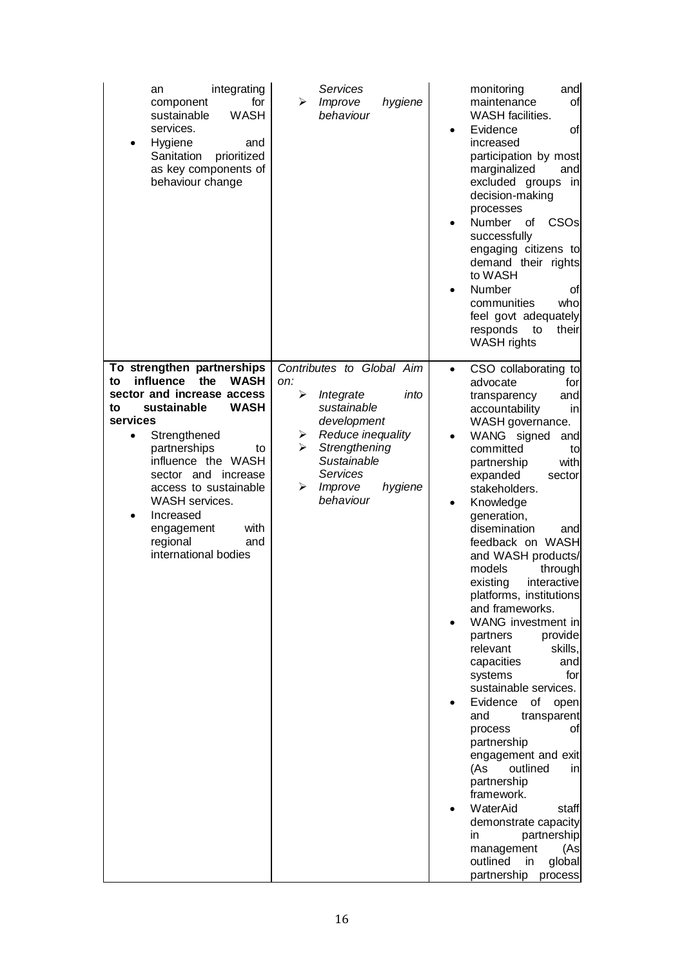| integrating<br>an<br>for<br>component<br><b>WASH</b><br>sustainable<br>services.<br>Hygiene<br>and<br>$\bullet$<br>Sanitation<br>prioritized<br>as key components of<br>behaviour change                                                                                                                                                                                  | Services<br>Improve<br>hygiene<br>➤<br>behaviour                                                                                                                                                            | and<br>monitoring<br>maintenance<br>of<br><b>WASH</b> facilities.<br>Evidence<br>οf<br>$\bullet$<br>increased<br>participation by most<br>marginalized<br>and<br>excluded groups<br>in<br>decision-making<br>processes<br>CSO <sub>s</sub><br>Number<br>οf<br>٠<br>successfully<br>engaging citizens to<br>demand their rights<br>to WASH<br>Number<br>οf<br>who<br>communities<br>feel govt adequately<br>responds<br>to<br>their<br><b>WASH</b> rights                                                                                                                                                                                                                                                                                                                                                                                                                                           |
|---------------------------------------------------------------------------------------------------------------------------------------------------------------------------------------------------------------------------------------------------------------------------------------------------------------------------------------------------------------------------|-------------------------------------------------------------------------------------------------------------------------------------------------------------------------------------------------------------|----------------------------------------------------------------------------------------------------------------------------------------------------------------------------------------------------------------------------------------------------------------------------------------------------------------------------------------------------------------------------------------------------------------------------------------------------------------------------------------------------------------------------------------------------------------------------------------------------------------------------------------------------------------------------------------------------------------------------------------------------------------------------------------------------------------------------------------------------------------------------------------------------|
| To strengthen partnerships<br>influence<br>the<br><b>WASH</b><br>to<br>sector and increase access<br>sustainable<br><b>WASH</b><br>to<br>services<br>Strengthened<br>٠<br>partnerships<br>to<br>influence the WASH<br>sector and increase<br>access to sustainable<br><b>WASH</b> services.<br>Increased<br>with<br>engagement<br>regional<br>and<br>international bodies | Contributes to Global Aim<br>on:<br>≻<br>Integrate<br>into<br>sustainable<br>development<br>Reduce inequality<br>➤<br>Strengthening<br>⋗<br>Sustainable<br>Services<br>➤<br>hygiene<br>Improve<br>behaviour | CSO collaborating to<br>$\bullet$<br>advocate<br>for<br>and<br>transparency<br>accountability<br>in<br>WASH governance.<br>WANG signed<br>and<br>$\bullet$<br>committed<br>to<br>with<br>partnership<br>expanded<br>sector<br>stakeholders.<br>Knowledge<br>$\bullet$<br>generation,<br>disemination<br>andl<br>feedback on WASH<br>and WASH products/<br>models<br>through<br>existing<br>interactive<br>platforms, institutions<br>and frameworks.<br>WANG investment in<br>partners<br>provide<br>relevant<br>skills,<br>capacities<br>and<br>for<br>systems<br>sustainable services.<br>Evidence<br>of<br>open<br>and<br>transparent<br>process<br>οt<br>partnership<br>engagement and exit<br>outlined<br>(As<br>in<br>partnership<br>framework.<br>WaterAid<br>staff<br>demonstrate capacity<br>partnership<br>in<br>management<br>(As<br>outlined<br>global<br>in<br>partnership<br>process |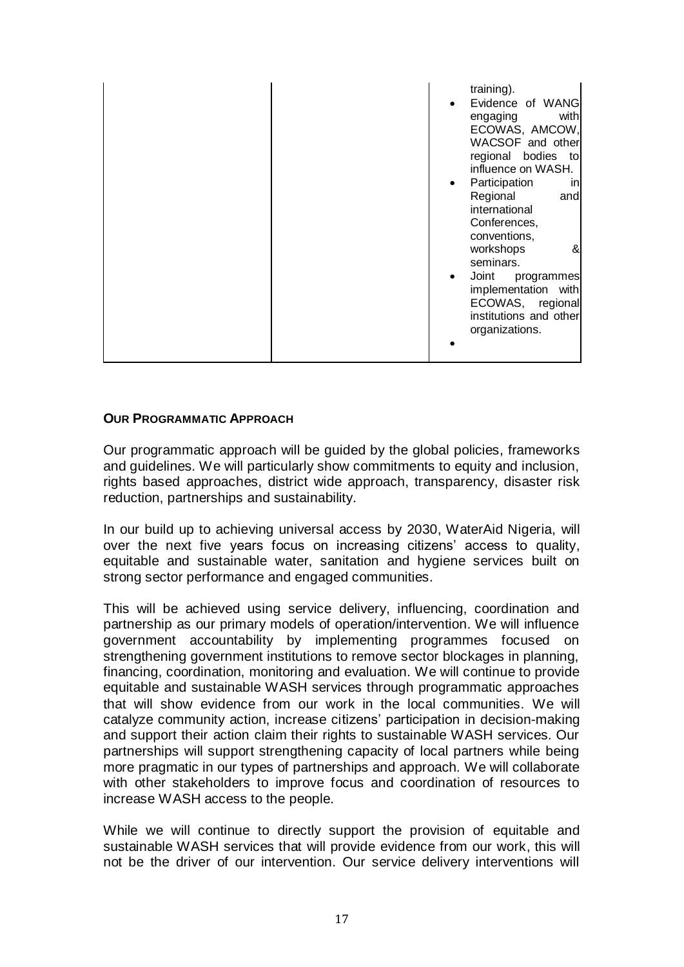|  |  | training).<br>Evidence of WANG<br>with<br>engaging<br>ECOWAS, AMCOW,<br>WACSOF and other<br>regional bodies to<br>influence on WASH.<br>Participation<br>inl<br>Regional<br>and<br>international<br>Conferences,<br>conventions,<br>workshops<br>&<br>seminars.<br>Joint<br>programmes<br>implementation with<br>ECOWAS, regional<br>institutions and other<br>organizations. |
|--|--|-------------------------------------------------------------------------------------------------------------------------------------------------------------------------------------------------------------------------------------------------------------------------------------------------------------------------------------------------------------------------------|
|--|--|-------------------------------------------------------------------------------------------------------------------------------------------------------------------------------------------------------------------------------------------------------------------------------------------------------------------------------------------------------------------------------|

## **OUR PROGRAMMATIC APPROACH**

Our programmatic approach will be guided by the global policies, frameworks and guidelines. We will particularly show commitments to equity and inclusion, rights based approaches, district wide approach, transparency, disaster risk reduction, partnerships and sustainability.

In our build up to achieving universal access by 2030, WaterAid Nigeria, will over the next five years focus on increasing citizens' access to quality, equitable and sustainable water, sanitation and hygiene services built on strong sector performance and engaged communities.

This will be achieved using service delivery, influencing, coordination and partnership as our primary models of operation/intervention. We will influence government accountability by implementing programmes focused on strengthening government institutions to remove sector blockages in planning, financing, coordination, monitoring and evaluation. We will continue to provide equitable and sustainable WASH services through programmatic approaches that will show evidence from our work in the local communities. We will catalyze community action, increase citizens' participation in decision-making and support their action claim their rights to sustainable WASH services. Our partnerships will support strengthening capacity of local partners while being more pragmatic in our types of partnerships and approach. We will collaborate with other stakeholders to improve focus and coordination of resources to increase WASH access to the people.

While we will continue to directly support the provision of equitable and sustainable WASH services that will provide evidence from our work, this will not be the driver of our intervention. Our service delivery interventions will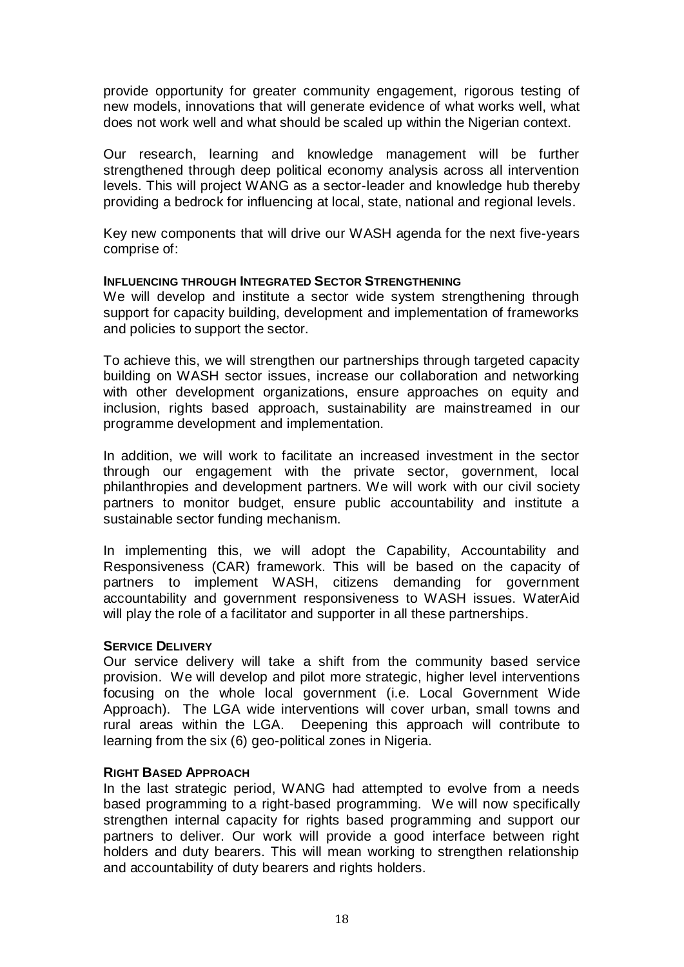provide opportunity for greater community engagement, rigorous testing of new models, innovations that will generate evidence of what works well, what does not work well and what should be scaled up within the Nigerian context.

Our research, learning and knowledge management will be further strengthened through deep political economy analysis across all intervention levels. This will project WANG as a sector-leader and knowledge hub thereby providing a bedrock for influencing at local, state, national and regional levels.

Key new components that will drive our WASH agenda for the next five-years comprise of:

#### **INFLUENCING THROUGH INTEGRATED SECTOR STRENGTHENING**

We will develop and institute a sector wide system strengthening through support for capacity building, development and implementation of frameworks and policies to support the sector.

To achieve this, we will strengthen our partnerships through targeted capacity building on WASH sector issues, increase our collaboration and networking with other development organizations, ensure approaches on equity and inclusion, rights based approach, sustainability are mainstreamed in our programme development and implementation.

In addition, we will work to facilitate an increased investment in the sector through our engagement with the private sector, government, local philanthropies and development partners. We will work with our civil society partners to monitor budget, ensure public accountability and institute a sustainable sector funding mechanism.

In implementing this, we will adopt the Capability, Accountability and Responsiveness (CAR) framework. This will be based on the capacity of partners to implement WASH, citizens demanding for government accountability and government responsiveness to WASH issues. WaterAid will play the role of a facilitator and supporter in all these partnerships.

#### **SERVICE DELIVERY**

Our service delivery will take a shift from the community based service provision. We will develop and pilot more strategic, higher level interventions focusing on the whole local government (i.e. Local Government Wide Approach). The LGA wide interventions will cover urban, small towns and rural areas within the LGA. Deepening this approach will contribute to learning from the six (6) geo-political zones in Nigeria.

#### **RIGHT BASED APPROACH**

In the last strategic period, WANG had attempted to evolve from a needs based programming to a right-based programming. We will now specifically strengthen internal capacity for rights based programming and support our partners to deliver. Our work will provide a good interface between right holders and duty bearers. This will mean working to strengthen relationship and accountability of duty bearers and rights holders.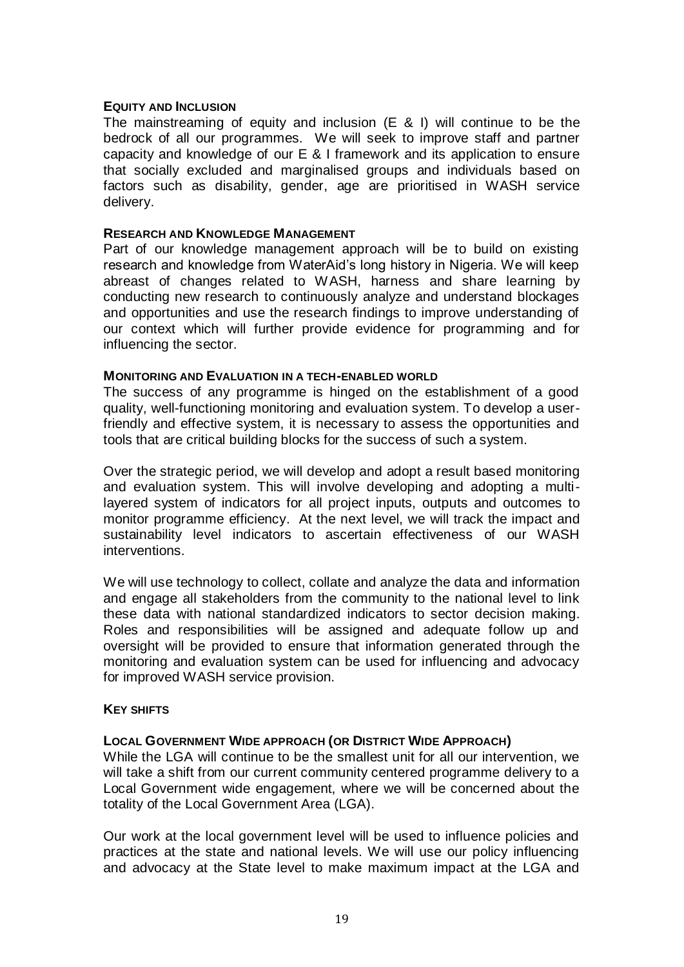#### **EQUITY AND INCLUSION**

The mainstreaming of equity and inclusion (E & I) will continue to be the bedrock of all our programmes. We will seek to improve staff and partner capacity and knowledge of our E & I framework and its application to ensure that socially excluded and marginalised groups and individuals based on factors such as disability, gender, age are prioritised in WASH service delivery.

#### **RESEARCH AND KNOWLEDGE MANAGEMENT**

Part of our knowledge management approach will be to build on existing research and knowledge from WaterAid's long history in Nigeria. We will keep abreast of changes related to WASH, harness and share learning by conducting new research to continuously analyze and understand blockages and opportunities and use the research findings to improve understanding of our context which will further provide evidence for programming and for influencing the sector.

#### **MONITORING AND EVALUATION IN A TECH-ENABLED WORLD**

The success of any programme is hinged on the establishment of a good quality, well-functioning monitoring and evaluation system. To develop a userfriendly and effective system, it is necessary to assess the opportunities and tools that are critical building blocks for the success of such a system.

Over the strategic period, we will develop and adopt a result based monitoring and evaluation system. This will involve developing and adopting a multilayered system of indicators for all project inputs, outputs and outcomes to monitor programme efficiency. At the next level, we will track the impact and sustainability level indicators to ascertain effectiveness of our WASH interventions.

We will use technology to collect, collate and analyze the data and information and engage all stakeholders from the community to the national level to link these data with national standardized indicators to sector decision making. Roles and responsibilities will be assigned and adequate follow up and oversight will be provided to ensure that information generated through the monitoring and evaluation system can be used for influencing and advocacy for improved WASH service provision.

## **KEY SHIFTS**

## **LOCAL GOVERNMENT WIDE APPROACH (OR DISTRICT WIDE APPROACH)**

While the LGA will continue to be the smallest unit for all our intervention, we will take a shift from our current community centered programme delivery to a Local Government wide engagement, where we will be concerned about the totality of the Local Government Area (LGA).

Our work at the local government level will be used to influence policies and practices at the state and national levels. We will use our policy influencing and advocacy at the State level to make maximum impact at the LGA and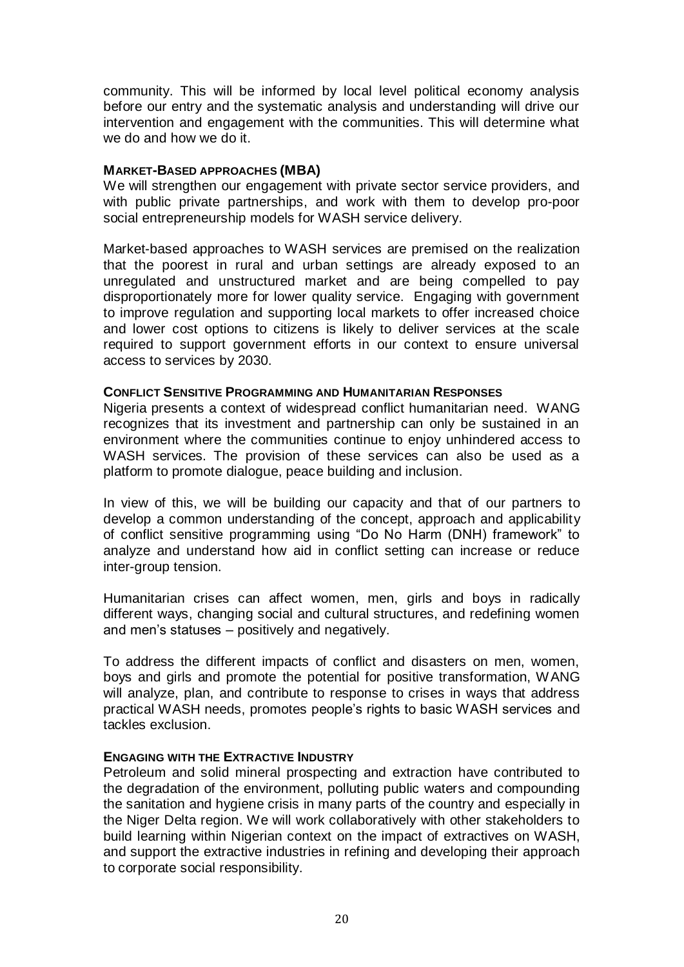community. This will be informed by local level political economy analysis before our entry and the systematic analysis and understanding will drive our intervention and engagement with the communities. This will determine what we do and how we do it.

#### **MARKET-BASED APPROACHES (MBA)**

We will strengthen our engagement with private sector service providers, and with public private partnerships, and work with them to develop pro-poor social entrepreneurship models for WASH service delivery.

Market-based approaches to WASH services are premised on the realization that the poorest in rural and urban settings are already exposed to an unregulated and unstructured market and are being compelled to pay disproportionately more for lower quality service. Engaging with government to improve regulation and supporting local markets to offer increased choice and lower cost options to citizens is likely to deliver services at the scale required to support government efforts in our context to ensure universal access to services by 2030.

## **CONFLICT SENSITIVE PROGRAMMING AND HUMANITARIAN RESPONSES**

Nigeria presents a context of widespread conflict humanitarian need. WANG recognizes that its investment and partnership can only be sustained in an environment where the communities continue to enjoy unhindered access to WASH services. The provision of these services can also be used as a platform to promote dialogue, peace building and inclusion.

In view of this, we will be building our capacity and that of our partners to develop a common understanding of the concept, approach and applicability of conflict sensitive programming using "Do No Harm (DNH) framework" to analyze and understand how aid in conflict setting can increase or reduce inter-group tension.

Humanitarian crises can affect women, men, girls and boys in radically different ways, changing social and cultural structures, and redefining women and men's statuses – positively and negatively.

To address the different impacts of conflict and disasters on men, women, boys and girls and promote the potential for positive transformation, WANG will analyze, plan, and contribute to response to crises in ways that address practical WASH needs, promotes people's rights to basic WASH services and tackles exclusion.

#### **ENGAGING WITH THE EXTRACTIVE INDUSTRY**

Petroleum and solid mineral prospecting and extraction have contributed to the degradation of the environment, polluting public waters and compounding the sanitation and hygiene crisis in many parts of the country and especially in the Niger Delta region. We will work collaboratively with other stakeholders to build learning within Nigerian context on the impact of extractives on WASH, and support the extractive industries in refining and developing their approach to corporate social responsibility.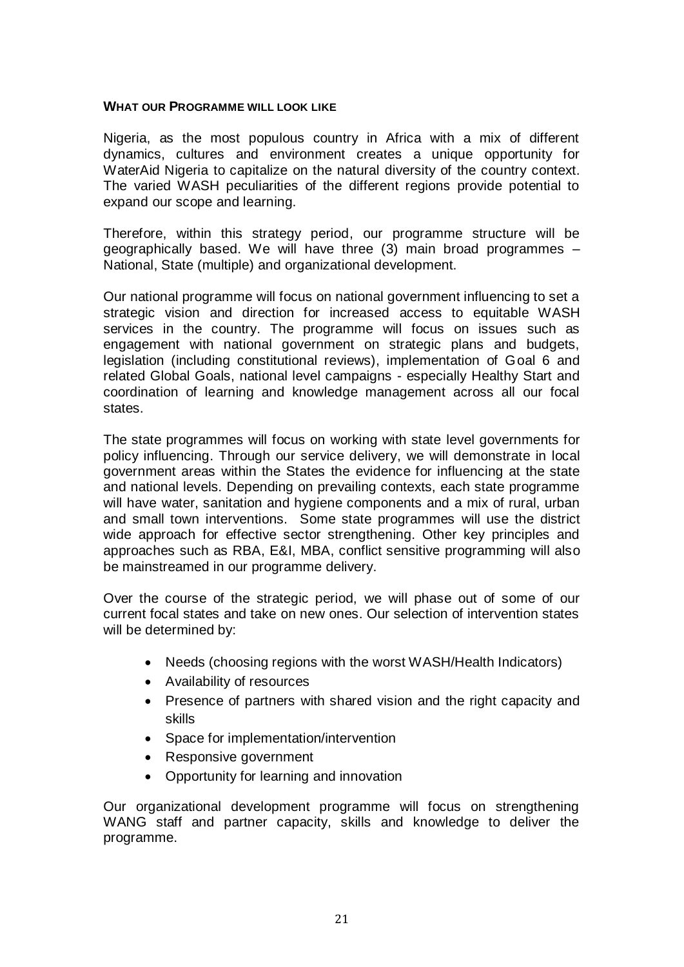#### **WHAT OUR PROGRAMME WILL LOOK LIKE**

Nigeria, as the most populous country in Africa with a mix of different dynamics, cultures and environment creates a unique opportunity for WaterAid Nigeria to capitalize on the natural diversity of the country context. The varied WASH peculiarities of the different regions provide potential to expand our scope and learning.

Therefore, within this strategy period, our programme structure will be geographically based. We will have three (3) main broad programmes – National, State (multiple) and organizational development.

Our national programme will focus on national government influencing to set a strategic vision and direction for increased access to equitable WASH services in the country. The programme will focus on issues such as engagement with national government on strategic plans and budgets, legislation (including constitutional reviews), implementation of Goal 6 and related Global Goals, national level campaigns - especially Healthy Start and coordination of learning and knowledge management across all our focal states.

The state programmes will focus on working with state level governments for policy influencing. Through our service delivery, we will demonstrate in local government areas within the States the evidence for influencing at the state and national levels. Depending on prevailing contexts, each state programme will have water, sanitation and hygiene components and a mix of rural, urban and small town interventions. Some state programmes will use the district wide approach for effective sector strengthening. Other key principles and approaches such as RBA, E&I, MBA, conflict sensitive programming will also be mainstreamed in our programme delivery.

Over the course of the strategic period, we will phase out of some of our current focal states and take on new ones. Our selection of intervention states will be determined by:

- Needs (choosing regions with the worst WASH/Health Indicators)
- Availability of resources
- Presence of partners with shared vision and the right capacity and skills
- Space for implementation/intervention
- Responsive government
- Opportunity for learning and innovation

Our organizational development programme will focus on strengthening WANG staff and partner capacity, skills and knowledge to deliver the programme.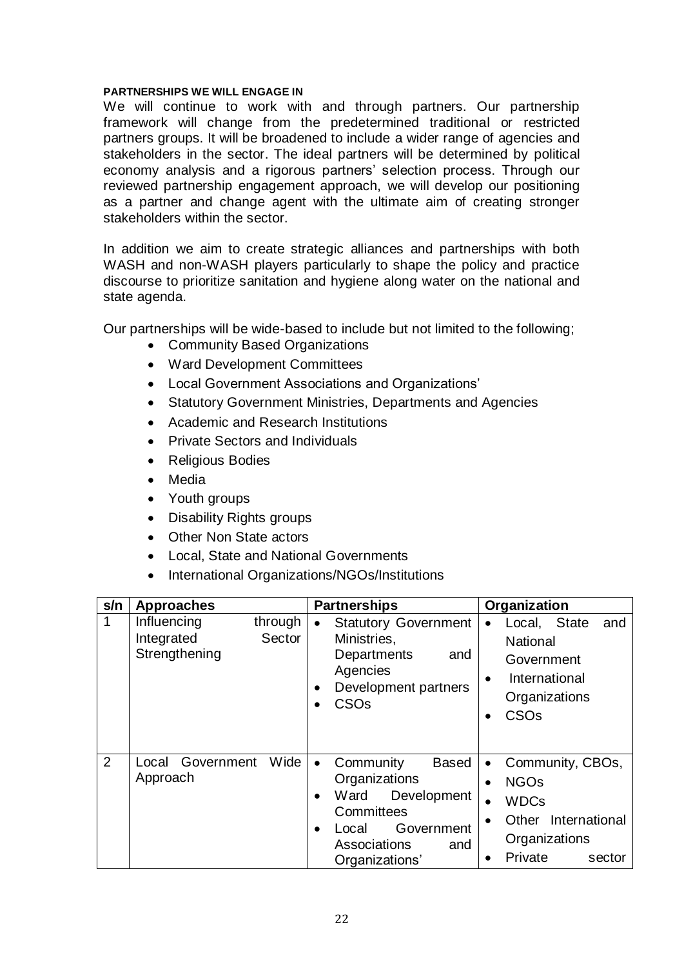#### **PARTNERSHIPS WE WILL ENGAGE IN**

We will continue to work with and through partners. Our partnership framework will change from the predetermined traditional or restricted partners groups. It will be broadened to include a wider range of agencies and stakeholders in the sector. The ideal partners will be determined by political economy analysis and a rigorous partners' selection process. Through our reviewed partnership engagement approach, we will develop our positioning as a partner and change agent with the ultimate aim of creating stronger stakeholders within the sector.

In addition we aim to create strategic alliances and partnerships with both WASH and non-WASH players particularly to shape the policy and practice discourse to prioritize sanitation and hygiene along water on the national and state agenda.

Our partnerships will be wide-based to include but not limited to the following;

- Community Based Organizations
- Ward Development Committees
- Local Government Associations and Organizations'
- Statutory Government Ministries, Departments and Agencies
- Academic and Research Institutions
- Private Sectors and Individuals
- Religious Bodies
- Media
- Youth groups
- Disability Rights groups
- Other Non State actors
- Local, State and National Governments
- International Organizations/NGOs/Institutions

| s/n | <b>Approaches</b>                                               | <b>Partnerships</b>                                                                                                                                                       | Organization                                                                                                                                                                 |  |  |
|-----|-----------------------------------------------------------------|---------------------------------------------------------------------------------------------------------------------------------------------------------------------------|------------------------------------------------------------------------------------------------------------------------------------------------------------------------------|--|--|
| 1   | Influencing<br>through<br>Sector<br>Integrated<br>Strengthening | <b>Statutory Government</b><br>$\bullet$<br>Ministries,<br>Departments<br>and<br>Agencies<br>Development partners<br>CSO <sub>s</sub>                                     | Local, State<br>and<br>$\bullet$<br><b>National</b><br>Government<br>International<br>$\bullet$<br>Organizations<br>CSO <sub>s</sub>                                         |  |  |
| 2   | Wide<br>Government<br>Local<br>Approach                         | <b>Based</b><br>Community<br>$\bullet$<br>Organizations<br>Ward<br>Development<br>$\bullet$<br>Committees<br>Government<br>Local<br>Associations<br>and<br>Organizations' | Community, CBOs,<br>$\bullet$<br><b>NGOs</b><br>$\bullet$<br><b>WDCs</b><br>$\bullet$<br>Other International<br>$\bullet$<br>Organizations<br>Private<br>sector<br>$\bullet$ |  |  |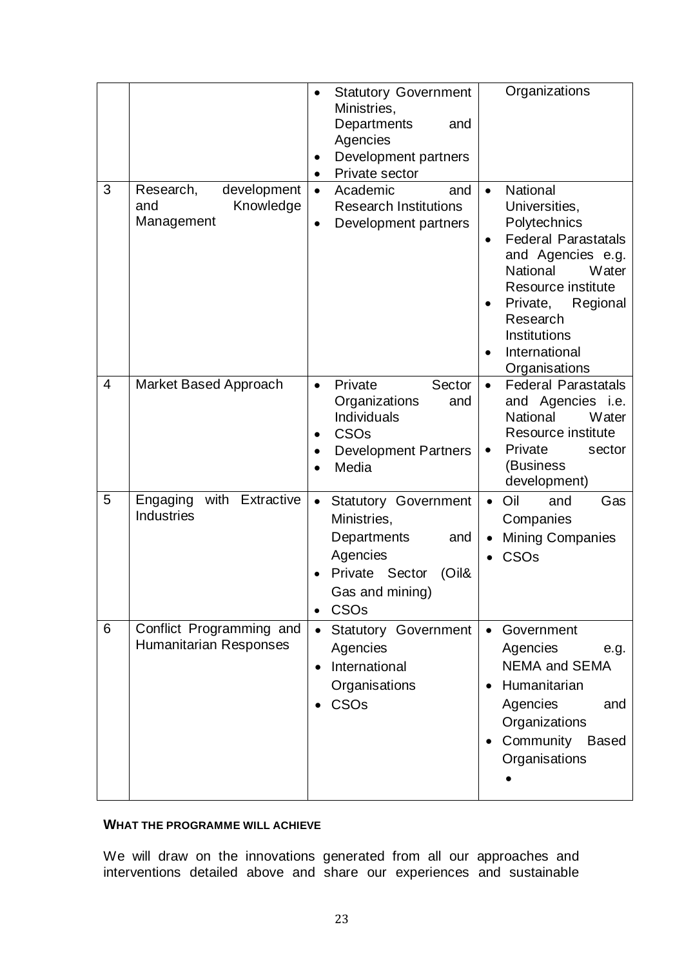|                |                                                            | <b>Statutory Government</b><br>$\bullet$<br>Ministries,<br>Departments<br>and<br>Agencies<br>Development partners<br>Private sector                       | Organizations                                                                                                                                                                                                                                           |
|----------------|------------------------------------------------------------|-----------------------------------------------------------------------------------------------------------------------------------------------------------|---------------------------------------------------------------------------------------------------------------------------------------------------------------------------------------------------------------------------------------------------------|
| 3              | Research,<br>development<br>Knowledge<br>and<br>Management | Academic<br>and<br>$\bullet$<br><b>Research Institutions</b><br>Development partners<br>$\bullet$                                                         | National<br>$\bullet$<br>Universities,<br>Polytechnics<br><b>Federal Parastatals</b><br>and Agencies e.g.<br>National<br>Water<br>Resource institute<br>Private,<br>Regional<br>$\bullet$<br>Research<br>Institutions<br>International<br>Organisations |
| $\overline{4}$ | Market Based Approach                                      | Private<br>Sector<br>$\bullet$<br>Organizations<br>and<br>Individuals<br>CSO <sub>s</sub><br><b>Development Partners</b><br>$\bullet$<br>Media            | <b>Federal Parastatals</b><br>$\bullet$<br>and Agencies i.e.<br>National<br>Water<br>Resource institute<br>Private<br>sector<br>$\bullet$<br>(Business<br>development)                                                                                  |
| 5              | with<br>Extractive<br>Engaging<br><b>Industries</b>        | <b>Statutory Government</b><br>$\bullet$<br>Ministries,<br>Departments<br>and<br>Agencies<br>Private Sector<br>$(O$ il&<br>Gas and mining)<br><b>CSOs</b> | Oil<br>Gas<br>and<br>$\bullet$<br>Companies<br><b>Mining Companies</b><br>$\bullet$<br>CSO <sub>s</sub>                                                                                                                                                 |
| 6              | Conflict Programming and<br>Humanitarian Responses         | <b>Statutory Government</b><br>$\bullet$<br>Agencies<br>International<br>Organisations<br>CSOs                                                            | Government<br>$\bullet$<br>Agencies<br>e.g.<br><b>NEMA and SEMA</b><br>Humanitarian<br>$\bullet$<br>Agencies<br>and<br>Organizations<br>Community Based<br>$\bullet$<br>Organisations                                                                   |

## **WHAT THE PROGRAMME WILL ACHIEVE**

We will draw on the innovations generated from all our approaches and interventions detailed above and share our experiences and sustainable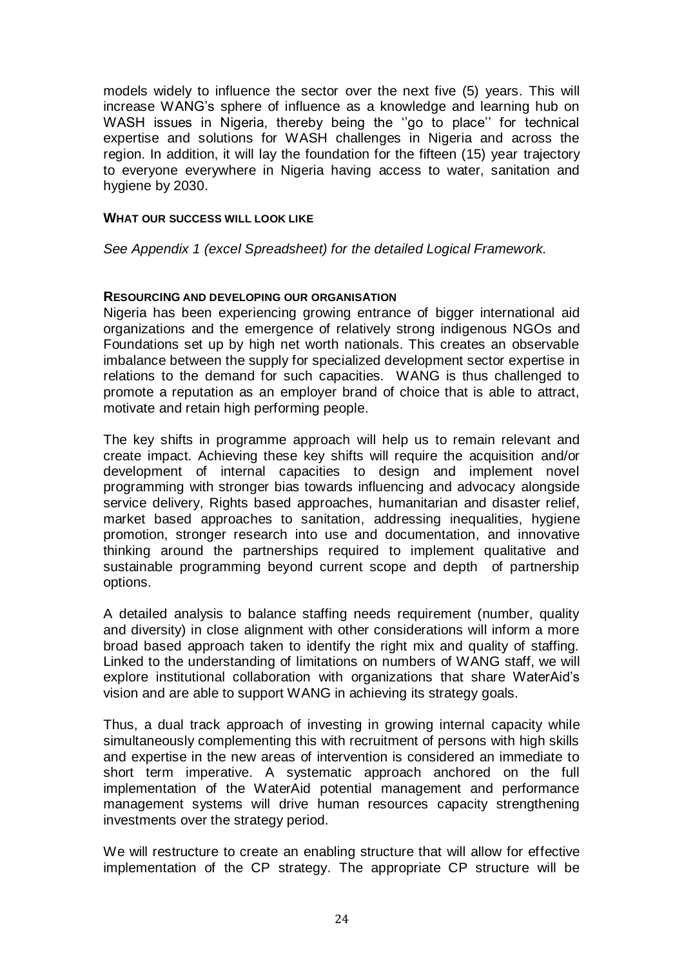models widely to influence the sector over the next five (5) years. This will increase WANG's sphere of influence as a knowledge and learning hub on WASH issues in Nigeria, thereby being the ''go to place'' for technical expertise and solutions for WASH challenges in Nigeria and across the region. In addition, it will lay the foundation for the fifteen (15) year trajectory to everyone everywhere in Nigeria having access to water, sanitation and hygiene by 2030.

## **WHAT OUR SUCCESS WILL LOOK LIKE**

*See Appendix 1 (excel Spreadsheet) for the detailed Logical Framework.*

## **RESOURCING AND DEVELOPING OUR ORGANISATION**

Nigeria has been experiencing growing entrance of bigger international aid organizations and the emergence of relatively strong indigenous NGOs and Foundations set up by high net worth nationals. This creates an observable imbalance between the supply for specialized development sector expertise in relations to the demand for such capacities. WANG is thus challenged to promote a reputation as an employer brand of choice that is able to attract, motivate and retain high performing people.

The key shifts in programme approach will help us to remain relevant and create impact. Achieving these key shifts will require the acquisition and/or development of internal capacities to design and implement novel programming with stronger bias towards influencing and advocacy alongside service delivery, Rights based approaches, humanitarian and disaster relief, market based approaches to sanitation, addressing inequalities, hygiene promotion, stronger research into use and documentation, and innovative thinking around the partnerships required to implement qualitative and sustainable programming beyond current scope and depth of partnership options.

A detailed analysis to balance staffing needs requirement (number, quality and diversity) in close alignment with other considerations will inform a more broad based approach taken to identify the right mix and quality of staffing. Linked to the understanding of limitations on numbers of WANG staff, we will explore institutional collaboration with organizations that share WaterAid's vision and are able to support WANG in achieving its strategy goals.

Thus, a dual track approach of investing in growing internal capacity while simultaneously complementing this with recruitment of persons with high skills and expertise in the new areas of intervention is considered an immediate to short term imperative. A systematic approach anchored on the full implementation of the WaterAid potential management and performance management systems will drive human resources capacity strengthening investments over the strategy period.

We will restructure to create an enabling structure that will allow for effective implementation of the CP strategy. The appropriate CP structure will be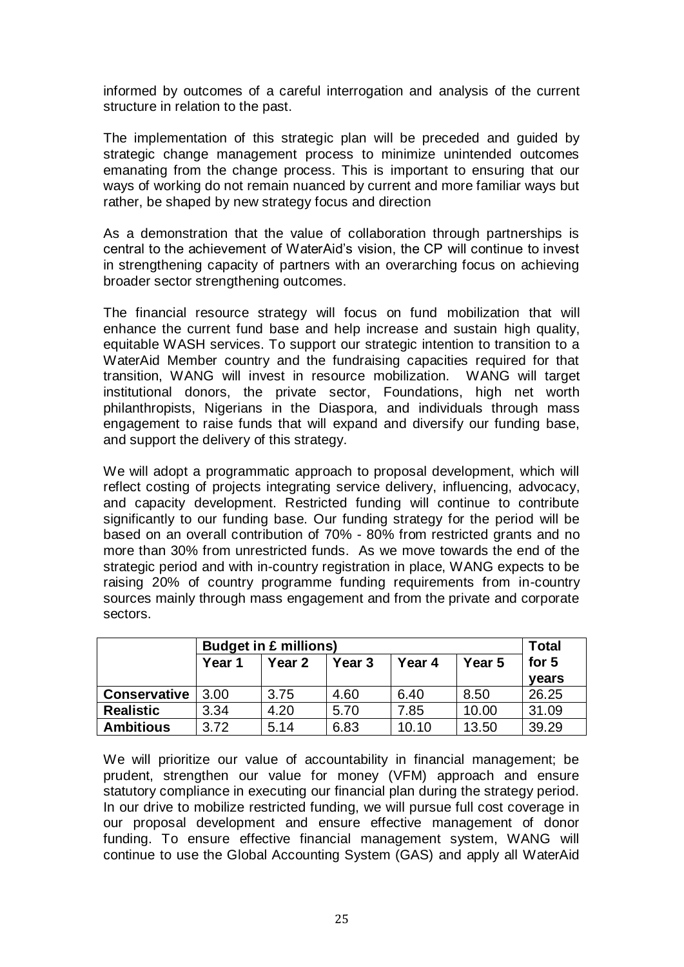informed by outcomes of a careful interrogation and analysis of the current structure in relation to the past.

The implementation of this strategic plan will be preceded and guided by strategic change management process to minimize unintended outcomes emanating from the change process. This is important to ensuring that our ways of working do not remain nuanced by current and more familiar ways but rather, be shaped by new strategy focus and direction

As a demonstration that the value of collaboration through partnerships is central to the achievement of WaterAid's vision, the CP will continue to invest in strengthening capacity of partners with an overarching focus on achieving broader sector strengthening outcomes.

The financial resource strategy will focus on fund mobilization that will enhance the current fund base and help increase and sustain high quality, equitable WASH services. To support our strategic intention to transition to a WaterAid Member country and the fundraising capacities required for that transition, WANG will invest in resource mobilization. WANG will target institutional donors, the private sector, Foundations, high net worth philanthropists, Nigerians in the Diaspora, and individuals through mass engagement to raise funds that will expand and diversify our funding base, and support the delivery of this strategy.

We will adopt a programmatic approach to proposal development, which will reflect costing of projects integrating service delivery, influencing, advocacy, and capacity development. Restricted funding will continue to contribute significantly to our funding base. Our funding strategy for the period will be based on an overall contribution of 70% - 80% from restricted grants and no more than 30% from unrestricted funds. As we move towards the end of the strategic period and with in-country registration in place, WANG expects to be raising 20% of country programme funding requirements from in-country sources mainly through mass engagement and from the private and corporate sectors.

|                  | <b>Budget in £ millions)</b> |        |        |        | <b>Total</b> |       |
|------------------|------------------------------|--------|--------|--------|--------------|-------|
|                  | Year 1                       | Year 2 | Year 3 | Year 4 | Year 5       | for 5 |
|                  |                              |        |        |        |              | years |
| Conservative     | 3.00                         | 3.75   | 4.60   | 6.40   | 8.50         | 26.25 |
| <b>Realistic</b> | 3.34                         | 4.20   | 5.70   | 7.85   | 10.00        | 31.09 |
| <b>Ambitious</b> | 3.72                         | 5.14   | 6.83   | 10.10  | 13.50        | 39.29 |

We will prioritize our value of accountability in financial management; be prudent, strengthen our value for money (VFM) approach and ensure statutory compliance in executing our financial plan during the strategy period. In our drive to mobilize restricted funding, we will pursue full cost coverage in our proposal development and ensure effective management of donor funding. To ensure effective financial management system, WANG will continue to use the Global Accounting System (GAS) and apply all WaterAid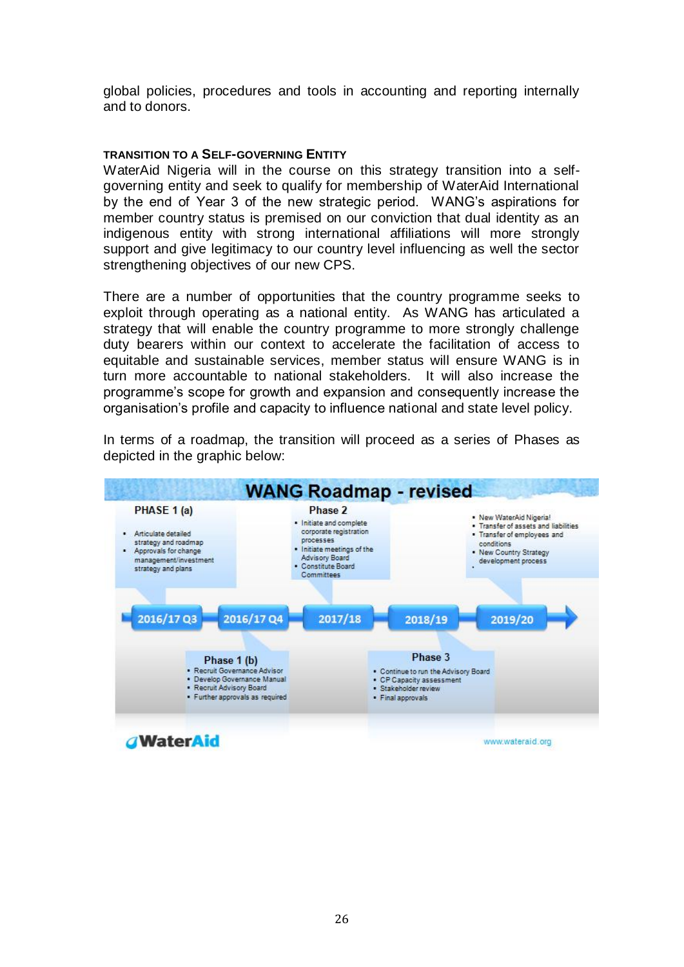global policies, procedures and tools in accounting and reporting internally and to donors.

## **TRANSITION TO A SELF-GOVERNING ENTITY**

WaterAid Nigeria will in the course on this strategy transition into a selfgoverning entity and seek to qualify for membership of WaterAid International by the end of Year 3 of the new strategic period. WANG's aspirations for member country status is premised on our conviction that dual identity as an indigenous entity with strong international affiliations will more strongly support and give legitimacy to our country level influencing as well the sector strengthening objectives of our new CPS.

There are a number of opportunities that the country programme seeks to exploit through operating as a national entity. As WANG has articulated a strategy that will enable the country programme to more strongly challenge duty bearers within our context to accelerate the facilitation of access to equitable and sustainable services, member status will ensure WANG is in turn more accountable to national stakeholders. It will also increase the programme's scope for growth and expansion and consequently increase the organisation's profile and capacity to influence national and state level policy.



In terms of a roadmap, the transition will proceed as a series of Phases as depicted in the graphic below: